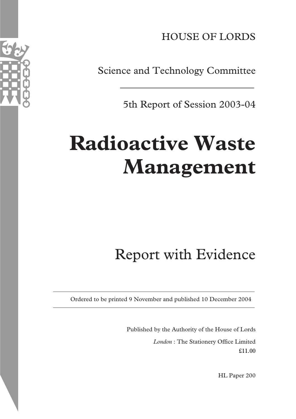HOUSE OF LORDS

Science and Technology Committee

5th Report of Session 2003-04

# **Radioactive Waste Management**

## Report with Evidence

Ordered to be printed 9 November and published 10 December 2004

Published by the Authority of the House of Lords *London* : The Stationery Office Limited £11.00

HL Paper 200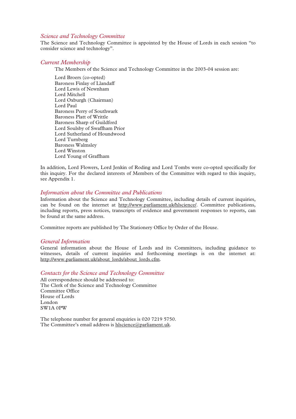#### *Science and Technology Committee*

The Science and Technology Committee is appointed by the House of Lords in each session "to consider science and technology".

#### *Current Membership*

The Members of the Science and Technology Committee in the 2003-04 session are:

Lord Broers (co-opted) Baroness Finlay of Llandaff Lord Lewis of Newnham Lord Mitchell Lord Oxburgh (Chairman) Lord Paul Baroness Perry of Southwark Baroness Platt of Writtle Baroness Sharp of Guildford Lord Soulsby of Swaffham Prior Lord Sutherland of Houndwood Lord Turnberg Baroness Walmsley Lord Winston Lord Young of Graffham

In addition, Lord Flowers, Lord Jenkin of Roding and Lord Tombs were co-opted specifically for this inquiry. For the declared interests of Members of the Committee with regard to this inquiry, see Appendix 1.

#### *Information about the Committee and Publications*

Information about the Science and Technology Committee, including details of current inquiries, can be found on the internet at http://www.parliament.uk/hlscience/. Committee publications, including reports, press notices, transcripts of evidence and government responses to reports, can be found at the same address.

Committee reports are published by The Stationery Office by Order of the House.

#### *General Information*

General information about the House of Lords and its Committees, including guidance to witnesses, details of current inquiries and forthcoming meetings is on the internet at: http://www.parliament.uk/about\_lords/about\_lords.cfm.

#### *Contacts for the Science and Technology Committee*

All correspondence should be addressed to: The Clerk of the Science and Technology Committee Committee Office House of Lords London SW1A 0PW

The telephone number for general enquiries is 020 7219 5750. The Committee's email address is hlscience@parliament.uk.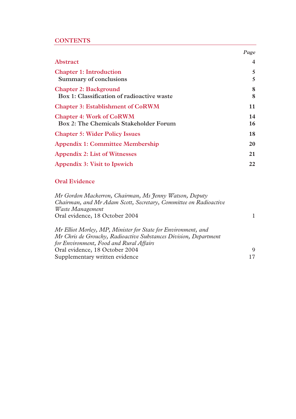#### **CONTENTS**

|                                                                            | Page           |
|----------------------------------------------------------------------------|----------------|
| <b>Abstract</b>                                                            | $\overline{4}$ |
| <b>Chapter 1: Introduction</b><br>Summary of conclusions                   | 5<br>5         |
| <b>Chapter 2: Background</b><br>Box 1: Classification of radioactive waste | 8<br>8         |
| <b>Chapter 3: Establishment of CoRWM</b>                                   | 11             |
| <b>Chapter 4: Work of CoRWM</b><br>Box 2: The Chemicals Stakeholder Forum  | 14<br>16       |
| <b>Chapter 5: Wider Policy Issues</b>                                      | 18             |
| <b>Appendix 1: Committee Membership</b>                                    | 20             |
| <b>Appendix 2: List of Witnesses</b>                                       | 21             |
| Appendix 3: Visit to Ipswich                                               | 22             |

#### **Oral Evidence**

*Mr Gordon Mackerron, Chairman, Ms Jenny Watson, Deputy Chairman, and Mr Adam Scott, Secretary, Committee on Radioactive Waste Management*  Oral evidence, 18 October 2004 1 *Mr Elliot Morley, MP, Minister for State for Environment, and Mr Chris de Grouchy, Radioactive Substances Division, Department for Environment, Food and Rural Affairs* 

Oral evidence, 18 October 2004 9 Supplementary written evidence 17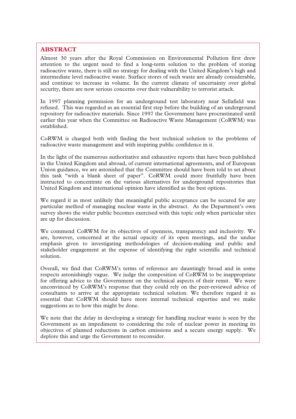#### **ABSTRACT**

Almost 30 years after the Royal Commission on Environmental Pollution first drew attention to the urgent need to find a long-term solution to the problem of storing radioactive waste, there is still no strategy for dealing with the United Kingdom's high and intermediate level radioactive waste. Surface stores of such waste are already considerable, and continue to increase in volume. In the current climate of uncertainty over global security, there are now serious concerns over their vulnerability to terrorist attack.

\_\_\_\_\_\_\_\_\_\_\_\_\_\_\_\_\_\_\_\_\_\_\_\_\_\_\_\_\_\_\_\_\_\_\_\_\_\_\_\_\_\_\_\_\_\_\_\_\_\_\_\_\_\_\_\_\_\_\_\_\_\_\_\_\_\_\_\_\_\_\_\_\_\_\_\_\_\_\_\_\_\_\_\_\_\_\_\_\_\_\_\_\_\_\_\_\_\_\_\_\_\_\_\_\_\_\_\_\_\_\_\_\_\_\_\_\_\_\_\_\_\_\_\_\_\_\_\_\_\_\_\_\_\_\_\_\_\_\_\_\_\_\_\_\_\_\_\_\_\_\_\_\_\_\_\_\_\_\_\_\_\_\_\_\_\_\_\_\_\_\_\_\_\_\_\_\_\_\_\_\_\_\_\_\_\_\_\_\_\_\_\_\_\_\_\_\_\_\_\_\_\_\_\_\_\_\_\_\_\_\_

In 1997 planning permission for an underground test laboratory near Sellafield was refused. This was regarded as an essential first step before the building of an underground repository for radioactive materials. Since 1997 the Government have procrastinated until earlier this year when the Committee on Radioactive Waste Management (CoRWM) was established.

CoRWM is charged both with finding the best technical solution to the problems of radioactive waste management and with inspiring public confidence in it.

In the light of the numerous authoritative and exhaustive reports that have been published in the United Kingdom and abroad, of current international agreements, and of European Union guidance, we are astonished that the Committee should have been told to set about this task "with a blank sheet of paper". CoRWM could more fruitfully have been instructed to concentrate on the various alternatives for underground repositories that United Kingdom and international opinion have identified as the best options.

We regard it as most unlikely that meaningful public acceptance can be secured for any particular method of managing nuclear waste in the abstract. As the Department's own survey shows the wider public becomes exercised with this topic only when particular sites are up for discussion.

We commend CoRWM for its objectives of openness, transparency and inclusivity. We are, however, concerned at the actual opacity of its open meetings, and the undue emphasis given to investigating methodologies of decision-making and public and stakeholder engagement at the expense of identifying the right scientific and technical solution.

Overall, we find that CoRWM's terms of reference are dauntingly broad and in some respects astonishingly vague. We judge the composition of CoRWM to be inappropriate for offering advice to the Government on the technical aspects of their remit. We were unconvinced by CoRWM's response that they could rely on the peer-reviewed advice of consultants to arrive at the appropriate technical solution. We therefore regard it as essential that CoRWM should have more internal technical expertise and we make suggestions as to how this might be done.

We note that the delay in developing a strategy for handling nuclear waste is seen by the Government as an impediment to considering the role of nuclear power in meeting its objectives of planned reductions in carbon emissions and a secure energy supply. We deplore this and urge the Government to reconsider.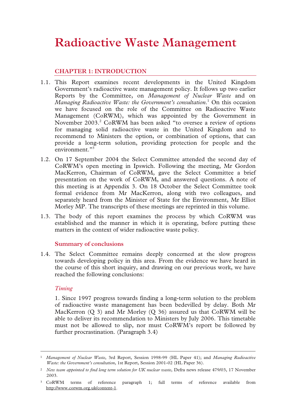## **Radioactive Waste Management**

#### **CHAPTER 1: INTRODUCTION**

- 1.1. This Report examines recent developments in the United Kingdom Government's radioactive waste management policy. It follows up two earlier Reports by the Committee, on *Management of Nuclear Waste* and on Managing Radioactive Waste: the Government's consultation.<sup>1</sup> On this occasion we have focused on the role of the Committee on Radioactive Waste Management (CoRWM), which was appointed by the Government in November 2003.<sup>2</sup> CoRWM has been asked "to oversee a review of options for managing solid radioactive waste in the United Kingdom and to recommend to Ministers the option, or combination of options, that can provide a long-term solution, providing protection for people and the environment."<sup>3</sup>
- 1.2. On 17 September 2004 the Select Committee attended the second day of CoRWM's open meeting in Ipswich. Following the meeting, Mr Gordon MacKerron, Chairman of CoRWM, gave the Select Committee a brief presentation on the work of CoRWM, and answered questions. A note of this meeting is at Appendix 3. On 18 October the Select Committee took formal evidence from Mr MacKerron, along with two colleagues, and separately heard from the Minister of State for the Environment, Mr Elliot Morley MP. The transcripts of these meetings are reprinted in this volume.
- 1.3. The body of this report examines the process by which CoRWM was established and the manner in which it is operating, before putting these matters in the context of wider radioactive waste policy.

#### **Summary of conclusions**

1.4. The Select Committee remains deeply concerned at the slow progress towards developing policy in this area. From the evidence we have heard in the course of this short inquiry, and drawing on our previous work, we have reached the following conclusions:

#### *Timing*

1. Since 1997 progress towards finding a long-term solution to the problem of radioactive waste management has been bedevilled by delay. Both Mr MacKerron (Q 3) and Mr Morley (Q 36) assured us that CoRWM will be able to deliver its recommendation to Ministers by July 2006. This timetable must not be allowed to slip, nor must CoRWM's report be followed by further procrastination. (Paragraph 3.4)

 <sup>1</sup> *Management of Nuclear Waste*, 3rd Report, Session 1998-99 (HL Paper 41); and *Managing Radioactive Waste: the Government's consultation*, 1st Report, Session 2001-02 (HL Paper 36).

<sup>&</sup>lt;sup>2</sup> *New team appointed to find long term solution for UK nuclear waste*, Defra news release 479/03, 17 November 2003.

<sup>3</sup> CoRWM terms of reference paragraph 1; full terms of reference available from http://www.corwm.org.uk/content-1.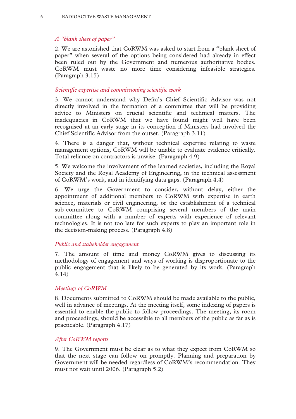#### 6 RADIOACTIVE WASTE MANAGEMENT

#### *A "blank sheet of paper"*

2. We are astonished that CoRWM was asked to start from a "blank sheet of paper" when several of the options being considered had already in effect been ruled out by the Government and numerous authoritative bodies. CoRWM must waste no more time considering infeasible strategies. (Paragraph 3.15)

#### *Scientific expertise and commissioning scientific work*

3. We cannot understand why Defra's Chief Scientific Advisor was not directly involved in the formation of a committee that will be providing advice to Ministers on crucial scientific and technical matters. The inadequacies in CoRWM that we have found might well have been recognised at an early stage in its conception if Ministers had involved the Chief Scientific Advisor from the outset. (Paragraph 3.11)

4. There is a danger that, without technical expertise relating to waste management options, CoRWM will be unable to evaluate evidence critically. Total reliance on contractors is unwise. (Paragraph 4.9)

5. We welcome the involvement of the learned societies, including the Royal Society and the Royal Academy of Engineering, in the technical assessment of CoRWM's work, and in identifying data gaps. (Paragraph 4.4)

 6. We urge the Government to consider, without delay, either the appointment of additional members to CoRWM with expertise in earth science, materials or civil engineering, or the establishment of a technical sub-committee to CoRWM comprising several members of the main committee along with a number of experts with experience of relevant technologies. It is not too late for such experts to play an important role in the decision-making process. (Paragraph 4.8)

#### *Public and stakeholder engagement*

7. The amount of time and money CoRWM gives to discussing its methodology of engagement and ways of working is disproportionate to the public engagement that is likely to be generated by its work. (Paragraph 4.14)

#### *Meetings of CoRWM*

8. Documents submitted to CoRWM should be made available to the public, well in advance of meetings. At the meeting itself, some indexing of papers is essential to enable the public to follow proceedings. The meeting, its room and proceedings, should be accessible to all members of the public as far as is practicable. (Paragraph 4.17)

#### *After CoRWM reports*

9. The Government must be clear as to what they expect from CoRWM so that the next stage can follow on promptly. Planning and preparation by Government will be needed regardless of CoRWM's recommendation. They must not wait until 2006. (Paragraph 5.2)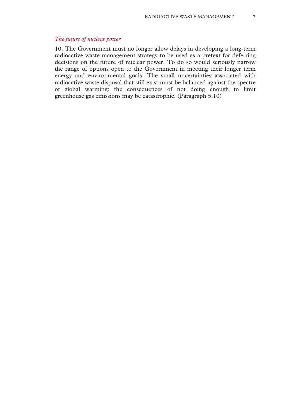#### *The future of nuclear power*

10. The Government must no longer allow delays in developing a long-term radioactive waste management strategy to be used as a pretext for deferring decisions on the future of nuclear power. To do so would seriously narrow the range of options open to the Government in meeting their longer term energy and environmental goals. The small uncertainties associated with radioactive waste disposal that still exist must be balanced against the spectre of global warming: the consequences of not doing enough to limit greenhouse gas emissions may be catastrophic. (Paragraph 5.10)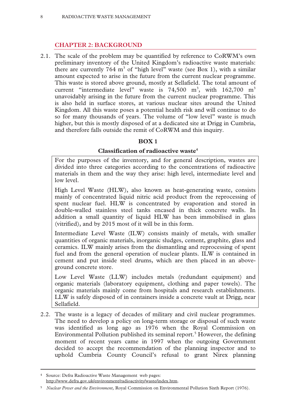#### **CHAPTER 2: BACKGROUND**

2.1. The scale of the problem may be quantified by reference to CoRWM's own preliminary inventory of the United Kingdom's radioactive waste materials: there are currently 764  $m<sup>3</sup>$  of "high level" waste (see Box 1), with a similar amount expected to arise in the future from the current nuclear programme. This waste is stored above ground, mostly at Sellafield. The total amount of current "intermediate level" waste is  $74,500 \text{ m}^3$ , with  $162,700 \text{ m}^3$ unavoidably arising in the future from the current nuclear programme. This is also held in surface stores, at various nuclear sites around the United Kingdom. All this waste poses a potential health risk and will continue to do so for many thousands of years. The volume of "low level" waste is much higher, but this is mostly disposed of at a dedicated site at Drigg in Cumbria, and therefore falls outside the remit of CoRWM and this inquiry.

### **BOX 1**

#### **Classification of radioactive waste4**

For the purposes of the inventory, and for general description, wastes are divided into three categories according to the concentrations of radioactive materials in them and the way they arise: high level, intermediate level and low level.

High Level Waste (HLW), also known as heat-generating waste, consists mainly of concentrated liquid nitric acid product from the reprocessing of spent nuclear fuel. HLW is concentrated by evaporation and stored in double-walled stainless steel tanks encased in thick concrete walls. In addition a small quantity of liquid HLW has been immobilised in glass (vitrified), and by 2015 most of it will be in this form.

Intermediate Level Waste (ILW) consists mainly of metals, with smaller quantities of organic materials, inorganic sludges, cement, graphite, glass and ceramics. ILW mainly arises from the dismantling and reprocessing of spent fuel and from the general operation of nuclear plants. ILW is contained in cement and put inside steel drums, which are then placed in an aboveground concrete store.

Low Level Waste (LLW) includes metals (redundant equipment) and organic materials (laboratory equipment, clothing and paper towels). The organic materials mainly come from hospitals and research establishments. LLW is safely disposed of in containers inside a concrete vault at Drigg, near Sellafield.

2.2. The waste is a legacy of decades of military and civil nuclear programmes. The need to develop a policy on long-term storage or disposal of such waste was identified as long ago as 1976 when the Royal Commission on Environmental Pollution published its seminal report.<sup>5</sup> However, the defining moment of recent years came in 1997 when the outgoing Government decided to accept the recommendation of the planning inspector and to uphold Cumbria County Council's refusal to grant Nirex planning

 <sup>4</sup> Source: Defra Radioactive Waste Management web pages:

http://www.defra.gov.uk/environment/radioactivity/waste/index.htm.

<sup>5</sup> *Nuclear Power and the Environment,* Royal Commission on Environmental Pollution Sixth Report (1976).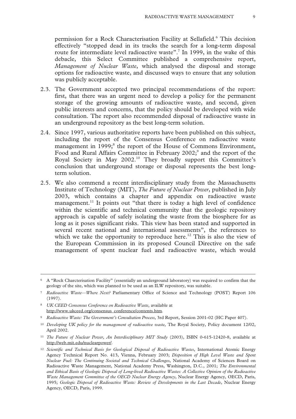permission for a Rock Characterisation Facility at Sellafield.<sup>6</sup> This decision effectively "stopped dead in its tracks the search for a long-term disposal route for intermediate level radioactive waste".<sup>7</sup> In 1999, in the wake of this debacle, this Select Committee published a comprehensive report, *Management of Nuclear Waste*, which analysed the disposal and storage options for radioactive waste, and discussed ways to ensure that any solution was publicly acceptable.

- 2.3. The Government accepted two principal recommendations of the report: first, that there was an urgent need to develop a policy for the permanent storage of the growing amounts of radioactive waste, and second, given public interests and concerns, that the policy should be developed with wide consultation. The report also recommended disposal of radioactive waste in an underground repository as the best long-term solution.
- 2.4. Since 1997, various authoritative reports have been published on this subject, including the report of the Consensus Conference on radioactive waste management in 1999;<sup>8</sup> the report of the House of Commons Environment, Food and Rural Affairs Committee in February 2002;<sup>9</sup> and the report of the Royal Society in May 2002.10 They broadly support this Committee's conclusion that underground storage or disposal represents the best longterm solution.
- 2.5. We also commend a recent interdisciplinary study from the Massachusetts Institute of Technology (MIT), *The Future of Nuclear Power*, published in July 2003, which contains a chapter and appendix on radioactive waste management.<sup>11</sup> It points out "that there is today a high level of confidence within the scientific and technical community that the geologic repository approach is capable of safely isolating the waste from the biosphere for as long as it poses significant risks. This view has been stated and supported in several recent national and international assessments", the references to which we take the opportunity to reproduce here.<sup>12</sup> This is also the view of the European Commission in its proposed Council Directive on the safe management of spent nuclear fuel and radioactive waste, which would

 <sup>6</sup> A "Rock Charcterisation Facility" (essentially an underground laboratory) was required to confirm that the geology of the site, which was planned to be used as an ILW repository, was suitable.

<sup>7</sup> *Radioactive Waste—Where Next?* Parliamentary Office of Science and Technology (POST) Report 106 (1997).

<sup>8</sup> *UK CEED Consensus Conference on Radioactive Waste,* available at http://www.ukceed.org/consensus\_conference/contents.htm.

<sup>9</sup> *Radioactive Waste: The Government's Consultation Process*, 3rd Report, Session 2001-02 (HC Paper 407).

<sup>10</sup> *Developing UK policy for the management of radioactive waste*, The Royal Society, Policy document 12/02, April 2002.

<sup>11</sup> *The Future of Nuclear Power, An Interdisciplinary MIT Study* (2003), ISBN 0-615-12420-8, available at http://web.mit.edu/nuclearpower/.

<sup>12</sup> *Scientific and Technical Basis for Geological Disposal of Radioactive Wastes*, International Atomic Energy Agency Technical Report No. 413, Vienna, February 2003; *Disposition of High Level Waste and Spent Nuclear Fuel: The Continuing Societal and Technical Challenges*, National Academy of Sciences Board on Radioactive Waste Management, National Academy Press, Washington, D.C., 2001; *The Environmental and Ethical Basis of Geologic Disposal of Long-lived Radioactive Wastes: A Collective Opinion of the Radioactive Waste Management Committee of the OECD Nuclear Energy Agency*, Nuclear Energy Agency, OECD, Paris, 1995; *Geologic Disposal of Radioactive Waste: Review of Developments in the Last Decade*, Nuclear Energy Agency, OECD, Paris, 1999.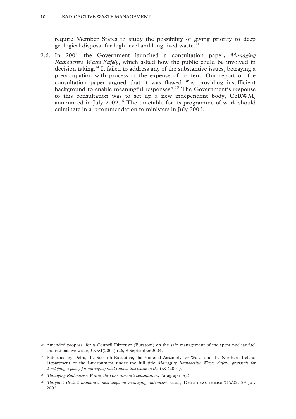require Member States to study the possibility of giving priority to deep geological disposal for high-level and long-lived waste.<sup>13</sup>

2.6. In 2001 the Government launched a consultation paper, *Managing Radioactive Waste Safely*, which asked how the public could be involved in decision taking.<sup>14</sup> It failed to address any of the substantive issues, betraying a preoccupation with process at the expense of content. Our report on the consultation paper argued that it was flawed "by providing insufficient background to enable meaningful responses".15 The Government's response to this consultation was to set up a new independent body, CoRWM, announced in July  $2002<sup>16</sup>$ . The timetable for its programme of work should culminate in a recommendation to ministers in July 2006.

 <sup>13</sup> Amended proposal for a Council Directive (Euratom) on the safe management of the spent nuclear fuel and radioactive waste, COM(2004)526, 8 September 2004.

<sup>14</sup> Published by Defra, the Scottish Executive, the National Assembly for Wales and the Northern Ireland Department of the Environment under the full title *Managing Radioactive Waste Safely: proposals for developing a policy for managing solid radioactive waste in the UK* (2001).

<sup>15</sup> *Managing Radioactive Waste: the Government's consultation*, Paragraph 3(a).

<sup>16</sup> *Margaret Beckett announces next steps on managing radioactive waste*, Defra news release 315/02, 29 July 2002.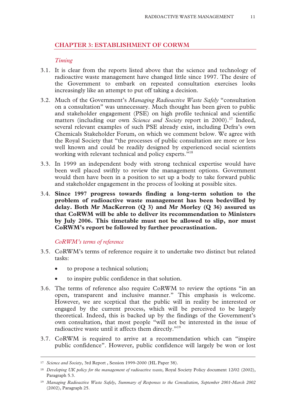#### **CHAPTER 3: ESTABLISHMENT OF CORWM**

#### *Timing*

- 3.1. It is clear from the reports listed above that the science and technology of radioactive waste management have changed little since 1997. The desire of the Government to embark on repeated consultation exercises looks increasingly like an attempt to put off taking a decision.
- 3.2. Much of the Government's *Managing Radioactive Waste Safely* "consultation on a consultation" was unnecessary. Much thought has been given to public and stakeholder engagement (PSE) on high profile technical and scientific matters (including our own *Science and Society* report in 2000).<sup>17</sup> Indeed, several relevant examples of such PSE already exist, including Defra's own Chemicals Stakeholder Forum, on which we comment below. We agree with the Royal Society that "the processes of public consultation are more or less well known and could be readily designed by experienced social scientists working with relevant technical and policy experts."<sup>18</sup>
- 3.3. In 1999 an independent body with strong technical expertise would have been well placed swiftly to review the management options. Government would then have been in a position to set up a body to take forward public and stakeholder engagement in the process of looking at possible sites.
- 3.4. **Since 1997 progress towards finding a long-term solution to the problem of radioactive waste management has been bedevilled by delay. Both Mr MacKerron (Q 3) and Mr Morley (Q 36) assured us that CoRWM will be able to deliver its recommendation to Ministers by July 2006. This timetable must not be allowed to slip, nor must CoRWM's report be followed by further procrastination.**

#### *CoRWM's terms of reference*

- 3.5. CoRWM's terms of reference require it to undertake two distinct but related tasks:
	- to propose a technical solution;
	- to inspire public confidence in that solution.
- 3.6. The terms of reference also require CoRWM to review the options "in an open, transparent and inclusive manner." This emphasis is welcome. However, we are sceptical that the public will in reality be interested or engaged by the current process, which will be perceived to be largely theoretical. Indeed, this is backed up by the findings of the Government's own consultation, that most people "will not be interested in the issue of radioactive waste until it affects them directly."<sup>19</sup>
- 3.7. CoRWM is required to arrive at a recommendation which can "inspire public confidence". However, public confidence will largely be won or lost

 <sup>17</sup> *Science and Society*, 3rd Report , Session 1999-2000 (HL Paper 38).

<sup>18</sup> *Developing UK policy for the management of radioactive waste*, Royal Society Policy document 12/02 (2002), Paragraph 5.3.

<sup>19</sup> *Managing Radioactive Waste Safely, Summary of Responses to the Consultation, September 2001-March 2002*  (2002), Paragraph 25.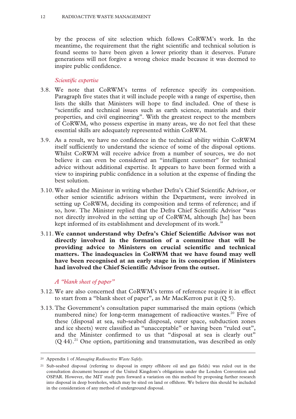by the process of site selection which follows CoRWM's work. In the meantime, the requirement that the right scientific and technical solution is found seems to have been given a lower priority than it deserves. Future generations will not forgive a wrong choice made because it was deemed to inspire public confidence.

#### *Scientific expertise*

- 3.8. We note that CoRWM's terms of reference specify its composition. Paragraph five states that it will include people with a range of expertise, then lists the skills that Ministers will hope to find included. One of these is "scientific and technical issues such as earth science, materials and their properties, and civil engineering". With the greatest respect to the members of CoRWM, who possess expertise in many areas, we do not feel that these essential skills are adequately represented within CoRWM.
- 3.9. As a result, we have no confidence in the technical ability within CoRWM itself sufficiently to understand the science of some of the disposal options. Whilst CoRWM will receive advice from a number of sources, we do not believe it can even be considered an "intelligent customer" for technical advice without additional expertise. It appears to have been formed with a view to inspiring public confidence in a solution at the expense of finding the best solution.
- 3.10. We asked the Minister in writing whether Defra's Chief Scientific Advisor, or other senior scientific advisors within the Department, were involved in setting up CoRWM, deciding its composition and terms of reference; and if so, how. The Minister replied that the Defra Chief Scientific Advisor "was not directly involved in the setting up of CoRWM, although [he] has been kept informed of its establishment and development of its work."
- 3.11. **We cannot understand why Defra's Chief Scientific Advisor was not directly involved in the formation of a committee that will be providing advice to Ministers on crucial scientific and technical matters. The inadequacies in CoRWM that we have found may well have been recognised at an early stage in its conception if Ministers had involved the Chief Scientific Advisor from the outset.**

#### *A "blank sheet of paper"*

- 3.12. We are also concerned that CoRWM's terms of reference require it in effect to start from a "blank sheet of paper", as Mr MacKerron put it (Q 5).
- 3.13. The Government's consultation paper summarised the main options (which numbered nine) for long-term management of radioactive wastes.<sup>20</sup> Five of these (disposal at sea, sub-seabed disposal, outer space, subduction zones and ice sheets) were classified as "unacceptable" or having been "ruled out", and the Minister confirmed to us that "disposal at sea is clearly out"  $(Q 44).<sup>21</sup>$  One option, partitioning and transmutation, was described as only

 <sup>20</sup> Appendix 1 of *Managing Radioactive Waste Safely.*

<sup>21</sup> Sub-seabed disposal (referring to disposal in empty offshore oil and gas fields) was ruled out in the consultation document because of the United Kingdom's obligations under the London Convention and OSPAR. However, the MIT study puts forward a variation on this method by proposing further research into disposal in deep boreholes, which may be sited on land or offshore. We believe this should be included in the consideration of any method of underground disposal.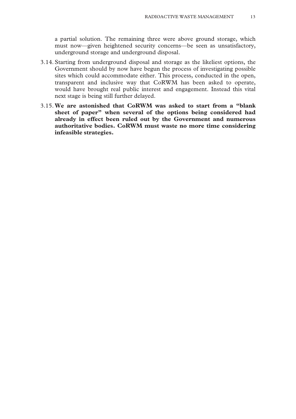a partial solution. The remaining three were above ground storage, which must now—given heightened security concerns—be seen as unsatisfactory, underground storage and underground disposal.

- 3.14. Starting from underground disposal and storage as the likeliest options, the Government should by now have begun the process of investigating possible sites which could accommodate either. This process, conducted in the open, transparent and inclusive way that CoRWM has been asked to operate, would have brought real public interest and engagement. Instead this vital next stage is being still further delayed.
- 3.15. **We are astonished that CoRWM was asked to start from a "blank sheet of paper" when several of the options being considered had already in effect been ruled out by the Government and numerous authoritative bodies. CoRWM must waste no more time considering infeasible strategies.**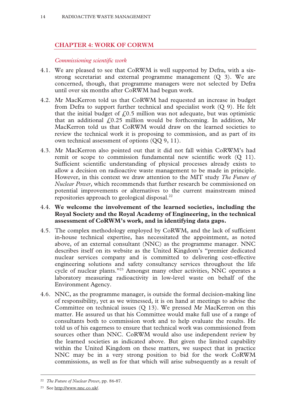#### **CHAPTER 4: WORK OF CORWM**

#### *Commissioning scientific work*

- 4.1. We are pleased to see that CoRWM is well supported by Defra, with a sixstrong secretariat and external programme management (Q 3). We are concerned, though, that programme managers were not selected by Defra until over six months after CoRWM had begun work.
- 4.2. Mr MacKerron told us that CoRWM had requested an increase in budget from Defra to support further technical and specialist work (Q 9). He felt that the initial budget of  $f(0.5)$  million was not adequate, but was optimistic that an additional  $f(0.25)$  million would be forthcoming. In addition, Mr MacKerron told us that CoRWM would draw on the learned societies to review the technical work it is proposing to commission, and as part of its own technical assessment of options (QQ 9, 11).
- 4.3. Mr MacKerron also pointed out that it did not fall within CoRWM's had remit or scope to commission fundamental new scientific work (Q 11). Sufficient scientific understanding of physical processes already exists to allow a decision on radioactive waste management to be made in principle. However, in this context we draw attention to the MIT study *The Future of Nuclear Power*, which recommends that further research be commissioned on potential improvements or alternatives to the current mainstream mined repositories approach to geological disposal.<sup>22</sup>

#### 4.4. **We welcome the involvement of the learned societies, including the Royal Society and the Royal Academy of Engineering, in the technical assessment of CoRWM's work, and in identifying data gaps.**

- 4.5. The complex methodology employed by CoRWM, and the lack of sufficient in-house technical expertise, has necessitated the appointment, as noted above, of an external consultant (NNC) as the programme manager. NNC describes itself on its website as the United Kingdom's "premier dedicated nuclear services company and is committed to delivering cost-effective engineering solutions and safety consultancy services throughout the life cycle of nuclear plants."23 Amongst many other activities, NNC operates a laboratory measuring radioactivity in low-level waste on behalf of the Environment Agency.
- 4.6. NNC, as the programme manager, is outside the formal decision-making line of responsibility, yet as we witnessed, it is on hand at meetings to advise the Committee on technical issues (Q 13). We pressed Mr MacKerron on this matter. He assured us that his Committee would make full use of a range of consultants both to commission work and to help evaluate the results. He told us of his eagerness to ensure that technical work was commissioned from sources other than NNC. CoRWM would also use independent review by the learned societies as indicated above. But given the limited capability within the United Kingdom on these matters, we suspect that in practice NNC may be in a very strong position to bid for the work CoRWM commissions, as well as for that which will arise subsequently as a result of

 <sup>22</sup> *The Future of Nuclear Power*, pp. 86-87.

<sup>23</sup> See http://www.nnc.co.uk/.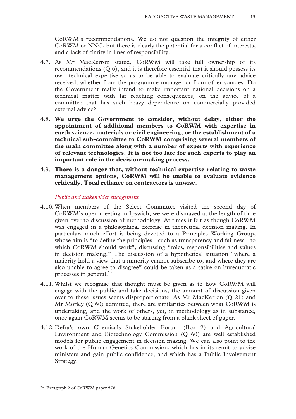CoRWM's recommendations. We do not question the integrity of either CoRWM or NNC, but there is clearly the potential for a conflict of interests, and a lack of clarity in lines of responsibility.

- 4.7. As Mr MacKerron stated, CoRWM will take full ownership of its recommendations (Q 6), and it is therefore essential that it should possess its own technical expertise so as to be able to evaluate critically any advice received, whether from the programme manager or from other sources. Do the Government really intend to make important national decisions on a technical matter with far reaching consequences, on the advice of a committee that has such heavy dependence on commercially provided external advice?
- 4.8. **We urge the Government to consider, without delay, either the appointment of additional members to CoRWM with expertise in earth science, materials or civil engineering, or the establishment of a technical sub-committee to CoRWM comprising several members of the main committee along with a number of experts with experience of relevant technologies. It is not too late for such experts to play an important role in the decision-making process.**
- 4.9. **There is a danger that, without technical expertise relating to waste management options, CoRWM will be unable to evaluate evidence critically. Total reliance on contractors is unwise.**

#### *Public and stakeholder engagement*

- 4.10. When members of the Select Committee visited the second day of CoRWM's open meeting in Ipswich, we were dismayed at the length of time given over to discussion of methodology. At times it felt as though CoRWM was engaged in a philosophical exercise in theoretical decision making. In particular, much effort is being devoted to a Principles Working Group, whose aim is "to define the principles—such as transparency and fairness—to which CoRWM should work", discussing "roles, responsibilities and values in decision making." The discussion of a hypothetical situation "where a majority hold a view that a minority cannot subscribe to, and where they are also unable to agree to disagree" could be taken as a satire on bureaucratic processes in general.<sup>24</sup>
- 4.11. Whilst we recognise that thought must be given as to how CoRWM will engage with the public and take decisions, the amount of discussion given over to these issues seems disproportionate. As Mr MacKerron (Q 21) and Mr Morley (Q 60) admitted, there are similarities between what CoRWM is undertaking, and the work of others, yet, in methodology as in substance, once again CoRWM seems to be starting from a blank sheet of paper.
- 4.12. Defra's own Chemicals Stakeholder Forum (Box 2) and Agricultural Environment and Biotechnology Commission (Q 60) are well established models for public engagement in decision making. We can also point to the work of the Human Genetics Commission, which has in its remit to advise ministers and gain public confidence, and which has a Public Involvement Strategy.

 <sup>24</sup> Paragraph 2 of CoRWM paper 578.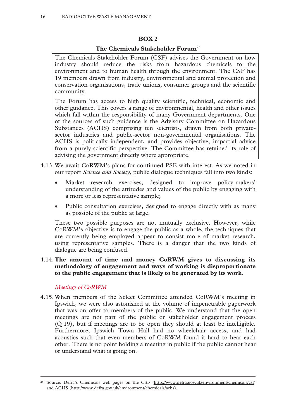#### **BOX 2**

#### **The Chemicals Stakeholder Forum**<sup>25</sup>

The Chemicals Stakeholder Forum (CSF) advises the Government on how industry should reduce the risks from hazardous chemicals to the environment and to human health through the environment. The CSF has 19 members drawn from industry, environmental and animal protection and conservation organisations, trade unions, consumer groups and the scientific community.

The Forum has access to high quality scientific, technical, economic and other guidance. This covers a range of environmental, health and other issues which fall within the responsibility of many Government departments. One of the sources of such guidance is the Advisory Committee on Hazardous Substances (ACHS) comprising ten scientists, drawn from both privatesector industries and public-sector non-governmental organisations. The ACHS is politically independent, and provides objective, impartial advice from a purely scientific perspective. The Committee has retained its role of advising the government directly where appropriate.

- 4.13. We await CoRWM's plans for continued PSE with interest. As we noted in our report *Science and Society*, public dialogue techniques fall into two kinds:
	- x Market research exercises, designed to improve policy-makers' understanding of the attitudes and values of the public by engaging with a more or less representative sample;
	- Public consultation exercises, designed to engage directly with as many as possible of the public at large.

These two possible purposes are not mutually exclusive. However, while CoRWM's objective is to engage the public as a whole, the techniques that are currently being employed appear to consist more of market research, using representative samples. There is a danger that the two kinds of dialogue are being confused.

#### 4.14. **The amount of time and money CoRWM gives to discussing its methodology of engagement and ways of working is disproportionate to the public engagement that is likely to be generated by its work.**

#### *Meetings of CoRWM*

4.15. When members of the Select Committee attended CoRWM's meeting in Ipswich, we were also astonished at the volume of impenetrable paperwork that was on offer to members of the public. We understand that the open meetings are not part of the public or stakeholder engagement process (Q 19), but if meetings are to be open they should at least be intelligible. Furthermore, Ipswich Town Hall had no wheelchair access, and had acoustics such that even members of CoRWM found it hard to hear each other. There is no point holding a meeting in public if the public cannot hear or understand what is going on.

<sup>&</sup>lt;sup>25</sup> Source: Defra's Chemicals web pages on the CSF (http://www.defra.gov.uk/environment/chemicals/csf) and ACHS (http://www.defra.gov.uk/environment/chemicals/achs).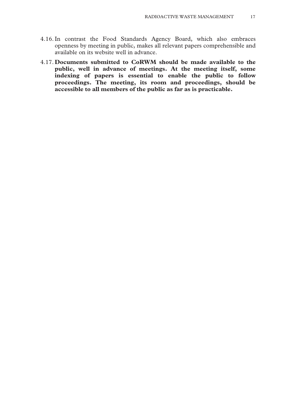- 4.16. In contrast the Food Standards Agency Board, which also embraces openness by meeting in public, makes all relevant papers comprehensible and available on its website well in advance.
- 4.17. **Documents submitted to CoRWM should be made available to the public, well in advance of meetings. At the meeting itself, some indexing of papers is essential to enable the public to follow proceedings. The meeting, its room and proceedings, should be accessible to all members of the public as far as is practicable.**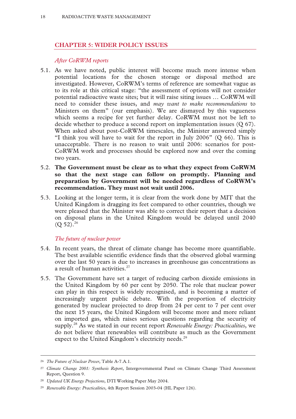#### **CHAPTER 5: WIDER POLICY ISSUES**

#### *After CoRWM reports*

- 5.1. As we have noted, public interest will become much more intense when potential locations for the chosen storage or disposal method are investigated. However, CoRWM's terms of reference are somewhat vague as to its role at this critical stage: "the assessment of options will not consider potential radioactive waste sites; but it will raise siting issues … CoRWM will need to consider these issues, and *may want to make recommendations* to Ministers on them" (our emphasis). We are dismayed by this vagueness which seems a recipe for yet further delay. CoRWM must not be left to decide whether to produce a second report on implementation issues (Q 67). When asked about post-CoRWM timescales, the Minister answered simply "I think you will have to wait for the report in July 2006" (Q 66). This is unacceptable. There is no reason to wait until 2006: scenarios for post-CoRWM work and processes should be explored now and over the coming two years.
- 5.2. **The Government must be clear as to what they expect from CoRWM so that the next stage can follow on promptly. Planning and preparation by Government will be needed regardless of CoRWM's recommendation. They must not wait until 2006.**
- 5.3. Looking at the longer term, it is clear from the work done by MIT that the United Kingdom is dragging its feet compared to other countries, though we were pleased that the Minister was able to correct their report that a decision on disposal plans in the United Kingdom would be delayed until 2040  $(O 52).^{26}$

#### *The future of nuclear power*

- 5.4. In recent years, the threat of climate change has become more quantifiable. The best available scientific evidence finds that the observed global warming over the last 50 years is due to increases in greenhouse gas concentrations as a result of human activities. $27$
- 5.5. The Government have set a target of reducing carbon dioxide emissions in the United Kingdom by 60 per cent by 2050. The role that nuclear power can play in this respect is widely recognised, and is becoming a matter of increasingly urgent public debate. With the proportion of electricity generated by nuclear projected to drop from 24 per cent to 7 per cent over the next 15 years, the United Kingdom will become more and more reliant on imported gas, which raises serious questions regarding the security of supply.28 As we stated in our recent report *Renewable Energy: Practicalities*, we do not believe that renewables will contribute as much as the Government expect to the United Kingdom's electricity needs.<sup>29</sup>

 <sup>26</sup> *The Future of Nuclear Power*, Table A-7.A.1.

<sup>27</sup> *Climate Change 2001: Synthesis Report*, Intergovernmental Panel on Climate Change Third Assessment Report, Question 9.

<sup>28</sup> *Updated UK Energy Projections*, DTI Working Paper May 2004.

<sup>29</sup> *Renewable Energy: Practicalities*, 4th Report Session 2003-04 (HL Paper 126).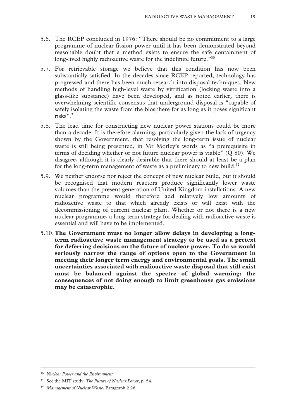- 5.6. The RCEP concluded in 1976: "There should be no commitment to a large programme of nuclear fission power until it has been demonstrated beyond reasonable doubt that a method exists to ensure the safe containment of long-lived highly radioactive waste for the indefinite future."<sup>30</sup>
- 5.7. For retrievable storage we believe that this condition has now been substantially satisfied. In the decades since RCEP reported, technology has progressed and there has been much research into disposal techniques. New methods of handling high-level waste by vitrification (locking waste into a glass-like substance) have been developed, and as noted earlier, there is overwhelming scientific consensus that underground disposal is "capable of safely isolating the waste from the biosphere for as long as it poses significant risks".31
- 5.8. The lead time for constructing new nuclear power stations could be more than a decade. It is therefore alarming, particularly given the lack of urgency shown by the Government, that resolving the long-term issue of nuclear waste is still being presented, in Mr Morley's words as "a prerequisite in terms of deciding whether or not future nuclear power is viable" (Q 80). We disagree, although it is clearly desirable that there should at least be a plan for the long-term management of waste as a preliminary to new build.<sup>32</sup>
- 5.9. We neither endorse nor reject the concept of new nuclear build, but it should be recognised that modern reactors produce significantly lower waste volumes than the present generation of United Kingdom installations. A new nuclear programme would therefore add relatively low amounts of radioactive waste to that which already exists or will exist with the decommissioning of current nuclear plant. Whether or not there is a new nuclear programme, a long-term strategy for dealing with radioactive waste is essential and will have to be implemented.
- 5.10. **The Government must no longer allow delays in developing a longterm radioactive waste management strategy to be used as a pretext for deferring decisions on the future of nuclear power. To do so would seriously narrow the range of options open to the Government in meeting their longer term energy and environmental goals. The small uncertainties associated with radioactive waste disposal that still exist must be balanced against the spectre of global warming: the consequences of not doing enough to limit greenhouse gas emissions may be catastrophic.**

 <sup>30</sup> *Nuclear Power and the Environment.*

<sup>31</sup> See the MIT study, *The Future of Nuclear Power*, p. 54.

<sup>32</sup> *Management of Nuclear Waste*, Paragraph 2.26*.*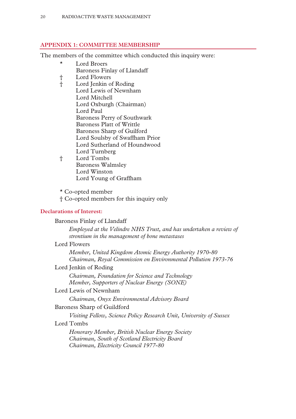#### **APPENDIX 1: COMMITTEE MEMBERSHIP**

The members of the committee which conducted this inquiry were:

- \* Lord Broers Baroness Finlay of Llandaff
- † Lord Flowers
- † Lord Jenkin of Roding Lord Lewis of Newnham Lord Mitchell Lord Oxburgh (Chairman) Lord Paul Baroness Perry of Southwark Baroness Platt of Writtle Baroness Sharp of Guilford Lord Soulsby of Swaffham Prior Lord Sutherland of Houndwood Lord Turnberg
- † Lord Tombs Baroness Walmsley Lord Winston Lord Young of Graffham
- \* Co-opted member
- † Co-opted members for this inquiry only

#### **Declarations of Interest:**

Baroness Finlay of Llandaff

*Employed at the Velindre NHS Trust, and has undertaken a review of strontium in the management of bone metastases* 

#### Lord Flowers

*Member, United Kingdom Atomic Energy Authority 1970-80 Chairman, Royal Commission on Environmental Pollution 1973-76* 

#### Lord Jenkin of Roding

*Chairman, Foundation for Science and Technology Member, Supporters of Nuclear Energy (SONE)* 

#### Lord Lewis of Newnham

*Chairman, Onyx Environmental Advisory Board* 

#### Baroness Sharp of Guildford

*Visiting Fellow, Science Policy Research Unit, University of Sussex* 

#### Lord Tombs

*Honorary Member, British Nuclear Energy Society Chairman, South of Scotland Electricity Board Chairman, Electricity Council 1977-80*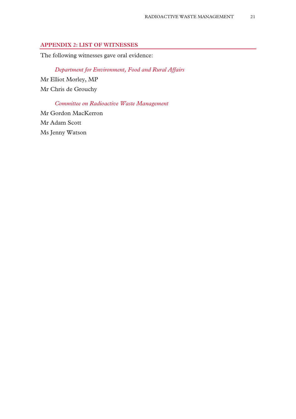#### **APPENDIX 2: LIST OF WITNESSES**

The following witnesses gave oral evidence:

### *Department for Environment, Food and Rural Affairs*

Mr Elliot Morley, MP Mr Chris de Grouchy

*Committee on Radioactive Waste Management*  Mr Gordon MacKerron Mr Adam Scott

Ms Jenny Watson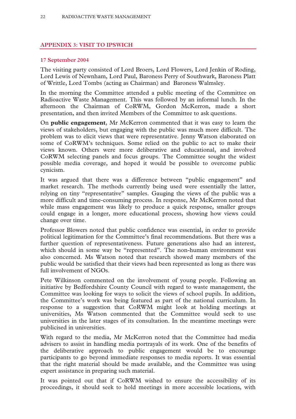#### **APPENDIX 3: VISIT TO IPSWICH**

#### **17 September 2004**

The visiting party consisted of Lord Broers, Lord Flowers, Lord Jenkin of Roding, Lord Lewis of Newnham, Lord Paul, Baroness Perry of Southwark, Baroness Platt of Writtle, Lord Tombs (acting as Chairman) and Baroness Walmsley.

In the morning the Committee attended a public meeting of the Committee on Radioactive Waste Management. This was followed by an informal lunch. In the afternoon the Chairman of CoRWM, Gordon McKerron, made a short presentation, and then invited Members of the Committee to ask questions.

On **public engagement**, Mr McKerron commented that it was easy to learn the views of stakeholders, but engaging with the public was much more difficult. The problem was to elicit views that were representative. Jenny Watson elaborated on some of CoRWM's techniques. Some relied on the public to act to make their views known. Others were more deliberative and educational, and involved CoRWM selecting panels and focus groups. The Committee sought the widest possible media coverage, and hoped it would be possible to overcome public cynicism.

It was argued that there was a difference between "public engagement" and market research. The methods currently being used were essentially the latter, relying on tiny "representative" samples. Gauging the views of the public was a more difficult and time-consuming process. In response, Mr McKerron noted that while mass engagement was likely to produce a quick response, smaller groups could engage in a longer, more educational process, showing how views could change over time.

Professor Blowers noted that public confidence was essential, in order to provide political legitimation for the Committee's final recommendations. But there was a further question of representativeness. Future generations also had an interest, which should in some way be "represented". The non-human environment was also concerned. Ms Watson noted that research showed many members of the public would be satisfied that their views had been represented as long as there was full involvement of NGOs.

Pete Wilkinson commented on the involvement of young people. Following an initiative by Bedfordshire County Council with regard to waste management, the Committee was looking for ways to solicit the views of school pupils. In addition, the Committee's work was being featured as part of the national curriculum. In response to a suggestion that CoRWM might look at holding meetings at universities, Ms Watson commented that the Committee would seek to use universities in the later stages of its consultation. In the meantime meetings were publicised in universities.

With regard to the media, Mr McKerron noted that the Committee had media advisers to assist in handling media portrayals of its work. One of the benefits of the deliberative approach to public engagement would be to encourage participants to go beyond immediate responses to media reports. It was essential that the right material should be made available, and the Committee was using expert assistance in preparing such material.

It was pointed out that if CoRWM wished to ensure the accessibility of its proceedings, it should seek to hold meetings in more accessible locations, with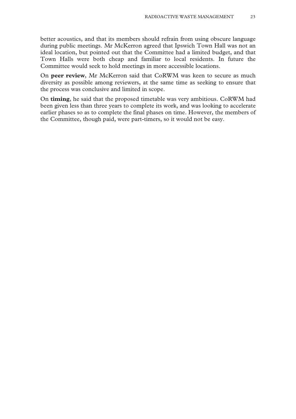better acoustics, and that its members should refrain from using obscure language during public meetings. Mr McKerron agreed that Ipswich Town Hall was not an ideal location, but pointed out that the Committee had a limited budget, and that Town Halls were both cheap and familiar to local residents. In future the Committee would seek to hold meetings in more accessible locations.

On **peer review**, Mr McKerron said that CoRWM was keen to secure as much diversity as possible among reviewers, at the same time as seeking to ensure that the process was conclusive and limited in scope.

On **timing**, he said that the proposed timetable was very ambitious. CoRWM had been given less than three years to complete its work, and was looking to accelerate earlier phases so as to complete the final phases on time. However, the members of the Committee, though paid, were part-timers, so it would not be easy.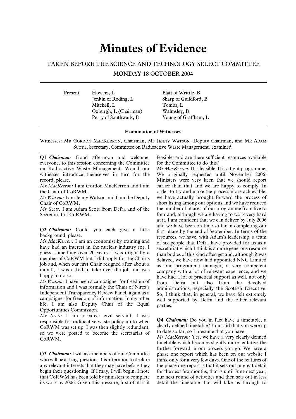### **Minutes of Evidence**

#### TAKEN BEFORE THE SCIENCE AND TECHNOLOGY SELECT COMMITTEE

MONDAY 18 OCTOBER 2004

Present Flowers, L Platt of Writtle, B Jenkin of Roding, L Sharp of Guildford, B Mitchell, L Tombs, L Oxburgh, L (Chairman) Walmsley, B

Perry of Southwark, B Young of Graffham, L

#### **Examination of Witnesses**

Witnesses: Mr. GORDON MACKERRON, Chairman, Ms JENNY WATSON, Deputy Chairman, and Mr. ADAM SCOTT, Secretary, Committee on Radioactive Waste Management, examined.

everyone, to this session concerning the Committee for the Committee to do this? on Radioactive Waste Management. Would our *Mr MacKerron:* It is feasible. It is a tight programme. witnesses introduce themselves in turn for the We originally requested until November 2006.

*Mr Scott:* I am Adam Scott from Defra and of the

information and I was formally the Chair of Nirex's<br>Independent Transparency Review Panel, again as a<br>So, I think that, in general, we have felt extremely<br>campaigner for freedom of information. In my other<br>life, I am also

*Mr Scott:* I am a career civil servant. I was **Q4** *Chairman***:** Do you in fact have a timetable, a responsible for radioactive waste policy up to when  $Q_4$  *Chairman*: Do you in fact have a timetable, a *C*<sub>Q</sub>**P**WM was est up. I was then elightly redundant clearly de CoRWM was set up. I was then slightly redundant, clearly defined timetable? You said that you converge posted to become the secretariat of to date so far, so I presume that you have. so we were posted to become the secretariat of to date so far, so I presume that you have.<br>CoRWM.<br>CoRWM.

**Q3** *Chairman:* I will ask members of our Committee phase one report which has been on our website I that CoRWM has been told by ministers to complete our next round of activities and then sets out in less its work by 2006. Given this pressure, first of all is it detail the timetable that will take us through to

**Q1** *Chairman:* Good afternoon and welcome, feasible, and are there sufficient resources available

record, please. Ministers were very keen that we should report *Mr MacKerron:* I am Gordon MacKerron and I am earlier than that and we are happy to comply. In the Chair of CoRWM. order to try and make the process more achievable, *Ms Watson:* I am Jenny Watson and I am the Deputy we have actually brought forward the process of Chair of CoRWM.<br>
Short listing among our options and we have reduced Mr Scott: I am Adam Scott from Defra and of the the number of phases of our programme from five to Secretariat of CoRWM. **Four and, although we are having to work very hard** at it, I am confident that we can deliver by July 2006 **Q2 Chairman:** Could you each give a little that we have been on time so far in completing our background, please.<br> *Mr MacKerron:* I am an economist by training and of six people that Defra have provided for us as a have

timetable which becomes slightly more tentative the further forward in our process you go. We have a who will be asking questions this afternoon to declare think only for a very few days. One of the features of any relevant interests that they may have before they the phase one report is that it sets out in great detail begin their questioning. If I may, I will begin. I note for the next few months, that is until June next year,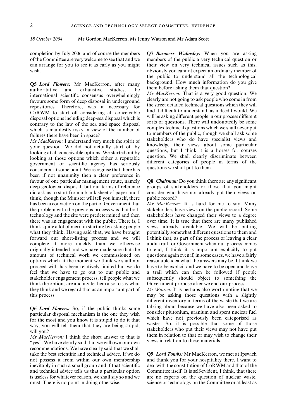**Q5 Lord Flowers:** Mr MacKerron, after many background. How much information do you give<br>authoritative and exhaustive studies, the international scientific consensus overwhelmingly *Mr MacKerron*: That is a very good quest favours some form of deep disposal in underground<br>represents the street detailed technical questions which they will

*Mr MacKerron:* I understand very much the spirit of stakeholders who do have specialist views and your question. We did not actually start off by looking at all conceivable options. We started out by looking at all concei been if not unanimity then a clear preference in favour of one particular management route, namely **Q8** *Chairman:* Do you think there are any significant deep geological disposal, but our terms of reference groups of stakeholders or those that you might did ask us to start from a blank sheet of paper and I consider who have not already put their views on think, though the Minister will tell you himself, there public record? has been a conviction on the part of Government that *Mr MacKerron:* It is hard for me to say. Many the problem with the previous process was that both stakeholders have views on the public record. Some technology and the site were predetermined and then stakeholders have changed their views to a degree there was an engagement with the public. There is,  $I$  over time. It is true that there are many published think, quite a lot of merit in starting by asking people views already available. We will be putting what they think. Having said that, we have brought potentially somewhat different questions to them and forward our short-listing process and we will I think that, as part of the process of leaving a clear complete it more quickly than we otherwise audit trail for Government when our process comes originally intended and we have made sure that the to end, I think it is important explicitly to put amount of technical work we commissioned on questions again even if, in some cases, we have a fairly options which at the moment we think we shall not reasonable idea what the answers may be. I think we proceed with has been relatively limited but we do have to be explicit and we have to be open and leave feel that we have to go out to our public and a trail which can then be followed if people stakeholder engagement process, tell people what we subsequently should object to something the think the options are and invite them also to say what Government propose after we end our process. they think and we regard that as an important part of *Ms Watson:* It is perhaps also worth noting that we

"yes". We have clearly said that we will own our own recommendations. We have clearly said that we shall take the best scientific and technical advice. If we do **Q9** *Lord Tombs:* Mr MacKerron, we met at Ipswich not possess it from within our own membership and thank you for your hospitality there. I want to inevitably in such a small group and if that scientific deal with the constitution of CoRWM and that of the and technical advice tells us that a particular option Committee itself. It is self-evident, I think, that there is useless for whatever reason, we shall say so and we are no experts on the question of nuclear waste, must. There is no point in doing otherwise. science or technology on the Committee or at least as

completion by July 2006 and of course the members **Q7** *Baroness Walmsley:* When you are asking of the Committee are very welcome to see that and we members of the public a very technical question or can arrange for you to see it as early as you might their view on very technical issues such as this, wish. **obviously you cannot expect an ordinary member of** the public to understand all the technological

repositories. Therefore, was it necessary for<br>CoRWM to start off considering all conceivable<br>disposal options including deep-sea disposal which is<br>will be asking different people in our process different<br>contrary to the la

this process. may be asking those questions with a slightly different inventory in terms of the waste that we are **Q6** *Lord Flowers*: So, if the public thinks some talking about because we have also been asked to particular disposal mechanism is the one they wish for the most and you know it is stupid to do it that which have not pre *Mr MacKerron:* I think the short answer to that is<br>*Mr MacKerron:* I think the short answer to that is<br>*I* them in relation to that or may wish to change their<br>*Views* and relation to those materials.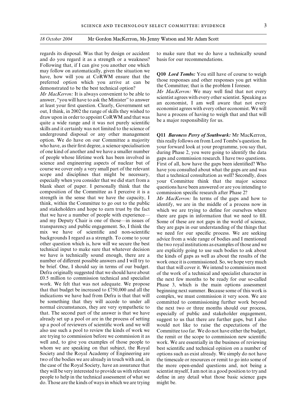and do you regard it as a strength or a weakness? basis for our recommendations. Following that, if I can give you another one which

may follow on automatically, given the situation we<br>have, how will you at CoRWM ensure that the<br>preferred option which you arrive at can be<br>demonstrated to be the best technical option?<br>Mr MacKerron: It is always convenien skills and it certainly was not limited to the science of underground disposal or any other management **Q11** *Baroness Perry of Southwark***:** Mr MacKerron, option. We do have on our Committee a majority this really follows on from Lord Tombs's question. In option. We do have on our Committee a majority this really follows on from Lord Tombs's question. In who have, as their first degree, a science specialisation vour forward look at your programme, you say that. who have, as their first degree, a science specialisation your forward look at your programme, you say that, of one kind of another and we have a smaller number<br>during Phase 2 you were going to identify the data of one kind of another and we have a smaller number during Phase 2, you were going to identify the data<br>of people whose lifetime work has been involved in gaps and commission research. Thave two questions of people whose lifetime work has been involved in gaps and commission research. I have two questions.<br>Science and engineering aspects of nuclear but of First of all how have the gaps been identified? Who course we cover only a very small part of the relevant have you consulted about what the gaps are and was scope and disciplines that might be necessary, that a technical consultation as well? Secondly, does especially when you consider that we did start from a your Committee think that the major science blank sheet of paper. I personally think that the questions have been answered or are you intending to composition of the Committee as I perceive it is a commission specific research after Phase 2? strength in the sense that we have the capacity, I *Mr MacKerron:* In terms of the gaps and how to think, within the Committee to go out to the public identify, we are in the middle of a process now in and stakeholders and hope to earn trust by the fact which we are trying to define for ourselves where that we have a number of people with experience— there are gaps in information that we need to fill that we have a number of people with experience— there are gaps in information that we need to fill.<br>and my Deputy Chair is one of those—in issues of Some of these are not gaps in the world of science transparency and public engagement. So, I think the they are gaps in our understanding of the things that mix we have of scientific and non-scientific we need for our specific process. We are seeking backgrounds I regard as a strength. To come to your advice from a wide range of bodies and I mentioned other question which is, how will we secure the best the two royal institutions as examples of those and we other question which is, how will we secure the best the two royal institutions as examples of those and we technical input to make sure that whatever decision are explicitly going to use such bodies to ask about technical input to make sure that whatever decision are explicitly going to use such bodies to ask about we have is technically sound enough, there are a the kinds of gaps as well as about the results of the number of different possible answers and I will try to work once it is commissioned. So, we hope very much be brief. One, I should say in terms of our budget. that that will cover it. We intend to commission most Defra originally suggested that we should have about of the work of a technical and specialist character in  $£0.5$  million to commission technical and specialist the next few months to be ready for our so-called work. We felt that was not adequate. We propose  $\frac{1}{2}$  phase 3, which is the main options assessment that that budget be increased to £750,000 and all the beginning next summer. Because some of this work is indications we have had from Defra is that that will complex, we must commission it very soon. We are indications we have had from Defra is that that will complex, we must commission it very soon. We are be something that they will accede to under all committed to commissioning further work beyond normal circumstances, they are very sympathetic to the next two or three months should our process, that. The second part of the answer is that we have especially of public and stakeholder engagement. already set up a pool or are in the process of setting suggest to us that there are further gaps, but I also up a pool of reviewers of scientific work and we will would not like to raise the expectations of the also use such a pool to review the kinds of work we Committee too far. We do not have either the budget, are trying to commission before we commission it as the remit or the scope to commission new scientific well and, to give you examples of those people to work. We are essentially in the business of reviewing whom we are speaking on that subject, the Royal best scientific and technical opinion on a number of Society and the Royal Academy of Engineering are options such as exist already. We simply do not have two of the bodies we are already in touch with and, in the timescale or resources or remit to go into some of the case of the Royal Society, have an assurance that the more open-ended questions and, not being a they will be very interested to provide us with relevant scientist myself, I am not in a good position to try and people to help in the technical assessment of what we define in any detail what those basic science gaps do. Those are the kinds of ways in which we are trying might be.

regards its disposal. Was that by design or accident to make sure that we do have a technically sound

First of all, how have the gaps been identified? Who that a technical consultation as well? Secondly, does

identify, we are in the middle of a process now in Some of these are not gaps in the world of science, the kinds of gaps as well as about the results of the Phase 3, which is the main options assessment committed to commissioning further work beyond especially of public and stakeholder engagement,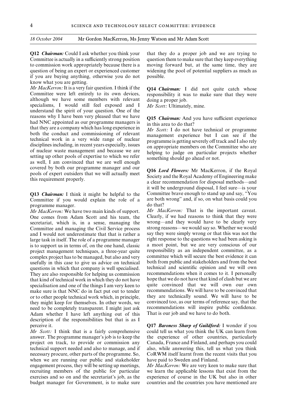Committee is actually in a sufficiently strong position question them to make sure that they keep everything to commission work appropriately because there is a moving forward but, at the same time, they are question of being an expert or experienced customer widening the pool of potential suppliers as much as if you are buying anything, otherwise you do not possible. know what you are getting.

*Mr MacKerron:* It is a very fair question. I think if the **Q14** *Chairman:* I did not quite catch whose Committee were left entirely to its own devices, responsibility it was to make sure that they were although we have some members with relevant doing a proper job. specialisms, I would still feel exposed and I *Mr Scott:* Ultimately, mine. understand the spirit of your question. One of the reasons why I have been very pleased that we have **Q15** *Chairman:* And you have sufficient experience had NNC appointed as our programme managers is this area to do that?<br>that they are a company which has long experience that they are a company which has long experience in<br>both the conduct and commissioning of relevant<br>technical work in a very wide range of nuclear<br>disciplines including, in recent years especially, issues<br>of nuclear waste covered by both our programme manager and our<br>pools of expert outsiders that we will actually meet<br>this requirement properly.<br>a clear recommendation for disposal methods—and<br>a clear recommendation for disposal methods—and

Committee if you would explain the role of a are both programme manager do that? programme manager.<br>Mr MacKerron: We have two main kinds of support. Mr MacKerron: That is the important caveat.

One comes from Adam Scott and his team, the Clearly, if we had reasons to think that they were<br>secretariat which is in a sense managing the wrong—and they would have to be clearly very secretariat, which is, in a sense, managing the wrong—and they would have to be clearly very<br>Committee and managing the Civil Service process strong reasons—we would say so. Whether we would Committee and managing the Civil Service process and I would not underestimate that that is rather a say they were simply wrong or that this was not the large task in itself. The role of a programme manager right response to the questions we had been asking is is to support us in terms of, on the one hand, classic a moot point, but we are very conscious of our is to support us in terms of, on the one hand, classic project management techniques, a three-year quite responsibility as an independent committee, as a complex project has to be managed, but also and very committee which will secure the best evidence it can<br>usefully in this case to give us advice on technical both from public and stakeholders and from the best usefully in this case to give us advice on technical questions in which that company is well specialised. technical and scientific opinion and we will own They are also responsible for helping us commission recommendations when it comes to it. I personally that kind of technical work in which they do not have hope that we do not have that kind of clash but we are that kind of technical work in which they do not have hope that we do not have that kind of clash but we are specialisation and one of the things I am very keep to quite convinced that we will own our own specialisation and one of the things I am very keen to quite convinced that we will own our own make sure is that NNC do in fact put out to tender recommendations. We will have to be convinced that make sure is that NNC do in fact put out to tender or to other people technical work which, in principle, they are technically sound. We will have to be they might keep for themselves. In other words, we convinced too, as our terms of reference say, that the they might keep for themselves. In other words, we need to be completely transparent. I might just ask recommendations will inspire public confidence.<br>Adam whether I have left anything out of this That is our job and we have to do both. Adam whether I have left anything out of this description of the responsibilities but that is as I perceive it. **Q17** *Baroness Sharp of Guildford:* I wonder if you

technical support needed and also to manage, and if also, while answering this, tell us what you think necessary procure, other parts of the programme. So, CoRWM itself learnt from the recent visits that you when we are running our public and stakeholder have paid to Sweden and Finland. engagement process, they will be setting up meetings, *Mr MacKerron:* We are very keen to make sure that recruiting members of the public for particular we learn the applicable lessons that exist from the exercises and so on and the secretariat's job, as the experience of course in the UK but also in other budget manager for Government, is to make sure countries and the countries you have mentioned are

**Q12** *Chairman:* Could I ask whether you think your that they do a proper job and we are trying to

responsibility it was to make sure that they were

it will be underground disposal, I feel sure—is your **Q13** *Chairman:* I think it might be helpful to the Committee brave enough to stand up and say, "You Committee if you would explain the role of a are both wrong" and, if so, on what basis could you

*Mr MacKerron:* We have two main kinds of support. *Mr MacKerron:* That is the important caveat.<br>One comes from Adam Scott and his team the Clearly, if we had reasons to think that they were

*Mr Scott:* I think that is a fairly comprehensive could tell us what you think the UK can learn from answer. The programme manager's job is to keep the the experience of other countries, particularly project on track, to provide or commission any Canada, France and Finland, and perhaps you could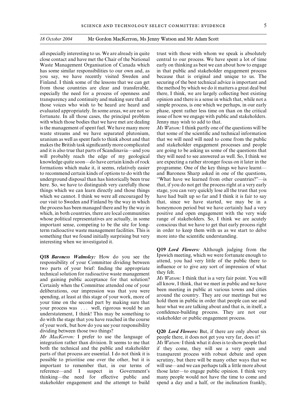with which those bodies that we have met are dealing Jenny may wish to add to that. something that we found initially surprising but very more into the scientific understanding. interesting when we investigated it.

responsibility of your Committee dividing between<br>two parts of your brief: finding the appropriate<br>technical solution for radioactive waste management<br>and gaining public acceptance for that solution?<br> $\frac{M_s W at son: I$  think tha Certainly when the Committee attended one of your all know, I think, that we meet in public and we have deliberations our impression was that you were been meeting in public at various towns and cities deliberations, our impression was that you were<br>spending, at least at this stage of your work, more of<br>your time on the second part by making sure that<br>your time on the second part by making sure that<br>hold them in public i of your work, but how do you see your responsibility

*Mr MacKerron:* I prefer to use the language of people there, it does not get you very far, does it? integration rather than division. It seems to me that *Ms Watson:*I think what it does is to show people that both the technical and the public and stakeholder if they come, they will see a very open and parts of that process are essential. I do not think it is transparent process with robust debate and open possible to prioritise one over the other, but it is scrutiny, but there will be many other ways that we reference—and I suspect in Government's those later—to engage public opinion. I think very thinking—the need for effective public and many people would not have the time to come and stakeholder engagement and the attempt to build spend a day and a half, or the inclination frankly,

all especially interesting to us. We are already in quite trust with those with whom we speak is absolutely close contact and have met the Chair of the National central to our process. We have spent a lot of time Waste Management Organisation of Canada which early on thinking as best we can about how to engage has some similar responsibilities to our own and, as in that public and stakeholder engagement process you say, we have recently visited Sweden and because that is original and unique to us. The Finland. I think some of the lessons that we can get securing of the best technical advice is important and from those countries are clear and transferable, the method by which we do it matters a great deal but especially the need for a process of openness and there, I think, we are largely collecting best existing transparency and continuity and making sure that all opinion and there is a sense in which that, while not a those voices who wish to be heard are heard and simple process, is one which we perhaps, in our early evaluated appropriately. In some areas, we are not so phase, spent rather less time on than on the critical fortunate. In all those cases, the principal problem issue of how we engage with public and stakeholders.

is the management of spent fuel. We have many more *Ms Watson:* I think partly one of the questions will be waste streams and we have separated plutonium, that some of the scientific and technical information uranium as well as spent fuels to think about and that that we will need will need to come from the public makes the British task significantly more complicated and stakeholder engagement processes and people and it is also true that parts of Scandinavia—and you are going to be asking us some of the questions that will probably reach the edge of my geological they will need to see answered as well. So, I think we knowledge quite soon—do have certain kinds of rock are expecting a rather stronger focus on it later in the formations which make it, it seems, relatively easier programme. One of the key things we have learnt to recommend certain kinds of options to do with the and Baroness Sharp asked in one of the questions, underground disposal than has historically been true "What have we learned from other countries?"—is here. So, we have to distinguish very carefully those that, if you do not get the process right at a very early things which we can learn directly and those things stage, you can very quickly lose all the trust that you which we cannot. I think we were all encouraged by have had built up so far and I think it is fair to say our visit to Sweden and Finland by the way in which that, since we have started, we may be in a the process has been managed there and by the way in honeymoon period but we have certainly had a very which, in both countries, there are local communities positive and open engagement with the very wide whose political representatives are actually, in some range of stakeholders. So, I think we are acutely important sense, competing to be the site for long- conscious that we have to get that early process right term radioactive waste management facilities. This is in order to keep them with us as we start to delve

**Q19** *Lord Flowers:* Although judging from the **Q18** *Baroness Walmsley:* How do you see the Ipswich meeting, which we were fortunate enough to responsibility of your Committee dividing between attend, you had very little of the public there to

dividing between those two things? **Q20** *Lord Flowers:* But, if there are only about six

important to remember that, in our terms of will use—and we can perhaps talk a little more about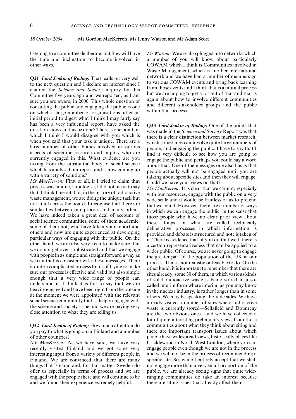listening to a committee deliberate, but they will have *Ms Watson:* We are also plugged into networks which

**Q21 Lord Jenkin of Roding:** That leads on very well<br>to the next question and I declare an interest since I<br>chaired the *Science and Society* inquiry by this<br>Committee five years ago and we reported, as I am<br>sure you are a initial period to digest what I think I may fairly say

has been a very influential report, have sixted the Q23 *L<sub>or</sub>d</sup> Jend Jendin* of Rabim (Section, how can whis be done? There is one point on  $\sqrt{m}$  and  $\sqrt{m}$  deneined one of the points that which I think I' would disag

recently visited Finland and we got some very engage people even though we are not in the process interesting input from a variety of different people in and we will not be in the process of recommending a Finland. We are convinced that there are many specific site. So, while I entirely accept that we shall things that Finland and, for that matter, Sweden do not engage more than a very small proportion of the offer us especially in terms of process and we are public, we are already seeing signs that quite wideengaged with the people there and will continue to be ranging communities do take an interest because and we found their experience extremely helpful. there are siting issues that already affect them.

the time and inclination to become involved in a number of you will know about particularly other ways. COWAM which I think is Communities involved in Waste Management, which is another international

lot of quite interesting preliminary views from those **Q22** *Lord Jenkin of Roding:* How much attention do communities about what they think about siting and you pay to what is going on in Finland and a number there are important transport issues about which of other countries? people have widespread views, historically places like *Mr MacKerron:* As we have said, we have very Cricklewood in North West London, where you can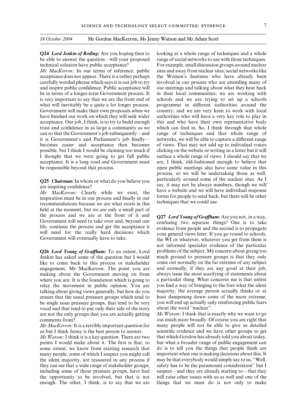and inspire public confidence. Public acceptance will our meetings and talking about what they hear back acceptance. Our job, I think, is to try to build enough this and who have their own representative body possible, but I think I would be claiming too much if clicking on the website or writing us a letter but it will

Mr MacKerron: Clearly while we exist, the have a website and we will have individual response<br>inspiration must be in our process and finally in our<br>recommendations because we are what exists in this<br>techniques that we coul field at the moment, but we are only a small part of

Jenkin has asked some of the question but I would much ground to pressure groups is that they only like to come back to this process or stakeholder come out normally on the far extreme of any subject engagement, Mr MacKerron. The point you are and normally, if they are any good at their job, making about the Government moving on from always issue the most scarifying of statements about where you are. It is the foundation which is going to a particular thing. What concerns me is that unless relay the movement in public opinion. You are you find a way of bringing to the fore what the silent talking about giving views generally, but how do you majority, the average person actually thinks or at ensure that the usual pressure groups which tend to least dampening down some of the more extreme, be single issue pressure groups, that tend to be very you will end up actually only reinforcing public fears vocal and that tend to put only their side of the story about the word "nuclear". vocal and that tend to put only their side of the story are not the only groups that you are actually getting *Ms Watson:* I think that is exactly why we want to go comments from? out much more broadly. Of course you are right that

enough. The other, I think, is to say that we are things that we must do is not only to make

**Q24** *Lord Jenkin of Roding:* Are you hoping then to looking at a whole range of techniques and a whole be able to answer the question—will your proposed range of social networksto use with those techniques. technical solution have public acceptance? For example, small discussion groups around nuclear *Mr MacKerron:* In our terms of reference, public sites and away from nuclear sites; social networks like acceptance does not appear. There is a rather perhaps the Women's Insitutes who have already been carefully worded phrase which says it is out job to try involved in our process who are attending many of be in terms of a longer-term Government process. It in their local communities; we are working with is very important to say that we are the front end of schools and we are trying to set up a schools what will inevitably be a quite a lot longer process. programme in different authorities around the Government will make their own proposals when we country; and we are very keen to work with local have finished our work on which they will seek wider authorities who will have a very key role to play in trust and confidence in as large a community as we which can feed in. So, I think through that whole can so that the Government's job subsequently—and range of techniques and that whole range of it is Government's and Parliament's job finally— networks, we will be able to capture a different range becomes easier and acceptance then becomes of views. That may not add up to individual voices I thought that we were going to get full public surface a whole range of views. I should say that we acceptance. It is a long road and Government must are, I think, old-fashioned enough to believe that be responsible beyond that process. open public meetings also have some value in this process, so we will be undertaking those as well, **Q25 Chairman:** In whom or what do you believe you particularly around some of the nuclear sites. As I say, it may not be always numbers, though we will are inspiring confidence?<br>
Mr. MacKeren: Clearly, while we exist the

the process and we are at the front of it and<br>Government will need to take over and, beyond our<br>life, continue the process and get the acceptance it<br>will need for the really hard decisions which<br>Government will eventually not informed specialist evidence of the particular **Q26** *Lord Young of Graffham:* To an extent, Lord problems of the subject. My concern about giving too

*Mr MacKerron:*It is a terribly important question for many people will not be able to give us detailed us but I think Jenny is the best person to answer. scientific evidence and we have other groups to get *Ms Watson:* I think it is a key question. There are two that which Gordon has already told you about today, points I would make about it. The first is that, to but what a broader range of public engagement can some extent, we know from existing research that do is to tell you the things that people think are many people, some of which I suspect you might call important when one is making decisions about this. It the silent majority, are reassured in any process if may be that everybody would simply say to us, "Well, they can see that a wide range of stakeholder groups, safety has to be the paramount consideration" but I including some of those pressure groups, have had suspect—and they are already starting to—that they the opportunity to be involved, but that is not will raise other issues with us as well and one of the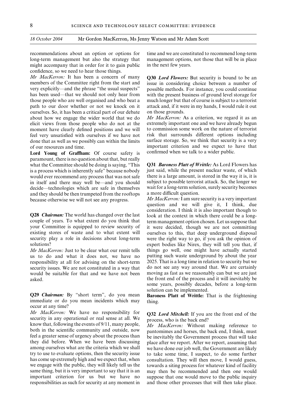recommendations about an option or options for time and we are constituted to recommend long-term long-term management but also the strategy that management options, not those that will be in place might accompany that in order for it to gain public in the next few years. confidence, so we need to hear those things.

*Mr MacKerron:* It has been a concern of many **Q30** *Lord Flowers:* But security is bound to be an members of the Committee right from the start and issue in considering choice between a number of very explicitly—and the phrase "the usual suspects" possible methods. For instance, you could continue has been used—that we should not only hear from with the present business of ground level storage for those people who are well organised and who beat a much longer but that of course is subject to a terrorist path to our door whether or not we knock on it attack and, if it were in my hands, I would rule it out ourselves. So, it has been a critical part of our debate on those grounds. about how we engage the wider world that we do *Mr MacKerron:* As a criterion, we regard it as an elicit views from those people who do not at the extremely important one and we have already begun moment have clearly defined positions and we will to commission some work on the nature of terrorist feel very unsatisfied with ourselves if we have not risk that surrounds different options including done that as well as we possibly can within the limits surface storage. So, we think that security is a very

Lord Young of Graffham: Of course safety is paramount, there is no question about that, but really what the Committee should be doing is saying, "This **Q31** *Baroness Platt of Writtle:* As Lord Flowers has is a process which is inherently safe" because nobody just said, while the present nuclear waste, of which would ever recommend any process that was not safe there is a large amount, is stored in the way it is, it is would ever recommend any process that was not safe there is a large amount, is stored in the way it is, it is<br>in itself and there may well be—and you should subject to possible terrorist attack. So, the longer we in itself and there may well be—and you should decide—technologies which are safe in themselves wait for a long-term solution, surely security becomes and they should be then trumpeted from the rooftops a more difficult question. and they should be then trumpeted from the rooftops because otherwise we will not see any progress. *Mr MacKerron:*I am sure security is a very important

couple of years. To what extent do you think that term management option chosen. Let us suppose that your Committee is equipped to review security of it were decided, though we are not committing existing stores of waste and to what extent will ourselves to this, that deep underground disposal security play a role in decisions about long-term were the right way to go, if you ask the opinion of solutions? expert bodies like Nirex, they will tell you that, if

us to do and what it does not, we have no putting such waste underground by about the year responsibility at all for advising on the short-term 2025. That is a long time in relation to security but we security issues. We are not constituted in a way that do not see any way around that. We are certainly would be suitable for that and we have not been moving as fast as we reasonably can but we are just asked. the front end of the process and it will inevitably be

**Q29** *Chairman:* By "short term", do you mean **Baroness Platt of Writtle:** That is the frightening immediate or do you mean incidents which may thing. occur at any time?

*Mr MacKerron:* We have no responsibility for **Q32 Lord Mitchell:** If you are the front end of the security in any operational or real sense at all. We know that, following the events of 9/11, many people,  $\frac{Mr}{Mr} \frac{MacKerror}{$ they did before. When we have been discussing place after we report. After we report, assuming that among ourselves what are the criteria which we shall we have done our job well the Government are likely among ourselves what are the criteria which we shall we have done our job well, the Government are likely try to use to evaluate options, then the security issue to take some time. I suspect, to do some further has come up extremely high and we expect that, when consultation. They will then move, I would guess, we engage with the public, they will likely tell us the towards a siting process for whatever kind of facility same thing, but it is very important to say that it is an may then be recommended and then one would important criterion for us but we have no suppose that one would move to the public inquiry responsibilities as such for security at any moment in and those other processes that will then take place.

issue in considering choice between a number of

of our resources and time.<br> **important criterion and we expect to have that**<br> **Lord Young of Graffham:** Of course safety is confirmed when we talk to a wider public.

question and we will give it, I think, due consideration. I think it is also important though to **Q28** *Chairman:* The world has changed over the last look at the context in which there could be a long-couple of years. To what extent do you think that term management option chosen. Let us suppose that it were decided, though we are not committing *Mr MacKerron:* Just to be clear what our remit tells things go well, one might have actually started some years, possibly decades, before a long-term solution can be implemented.

to take some time, I suspect, to do some further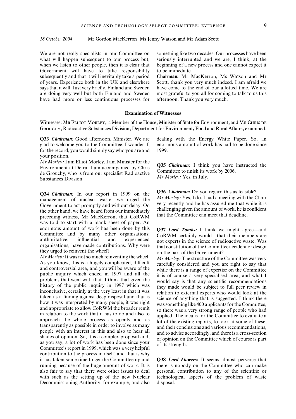We are not really specialists in our Committee on something like two decades. Our processes have been what will happen subsequent to our process but, seriously interrupted and we are, I think, at the what will happen subsequent to our process but, Government will have to take responsibility to be immediate. subsequently and that it will inevitably take a period **Chairman:** Mr MacKerron, Ms Watson and Mr have had more or less continuous processes for afternoon. Thank you very much.

when we listen to other people, then it is clear that beginning of a new process and one cannot expect it

of years. Experience both in the UK and elsewhere Scott, thank you very much indeed. I am afraid we says that it will. Just very briefly, Finland and Sweden have come to the end of our allotted time. We are are doing very well but both Finland and Sweden most grateful to you all for coming to talk to us this

#### **Examination of Witnesses**

Witnesses: MR ELLIOT MORLEY, a Member of the House, Minister of State for Environment, and MR CHRIS DE Grouchy, Radioactive Substances Division, Department for Environment, Food and RuralAffairs, examined.

glad to welcome you to the Committee. I wonder if, for the record, you would simply say who you are and 1999. your position.

*Mr Morley:* I am Elliot Morley. I am Minister for the<br>Environment at Defra. I am accompanied by Chris<br>de Grouchy, who is from our specialist Radioactive<br>Substances Division.<br>Substances Division.

management of nuclear waste, we urged the *Mr Morley:* Yes, I do. I had a meeting with the Chair<br>Government to act promptly and without delay On very recently and he has assured me that while it is Government to act promptly and without delay. On very recently and he has assured me that while it is<br>the other hand, we have heard from our immediately challenging given the amount of work, he is confident the other hand, we have heard from our immediately challenging given the amount of work, he is correcting witness, Mr MacKerron, that CoRWM that the Committee can meet that deadline. was told to start with a blank sheet of paper. An

enormous amount of work has been done by this Q37 *Lord Tombs*: I think we might agree—and<br>Committee and by many other organisations: CoRWM cretainly would—that their members are<br>authoritative, influential and experienced contribution to the process in itself, and that is why it has taken some time to get the Committee up and **Q38** *Lord Flowers:* It seems almost perverse that running because of the huge amount of work. It is there is nobody on the Committee who can make also fair to say that there were other issues to deal personal contribution to any of the scientific or with such as the setting up of the new Nuclear technological aspects of the problem of waste Decommissioning Authority, for example, and also disposal.

**Q33** *Chairman:* Good afternoon, Minister. We are dealing with the Energy White Paper. So, an glad to welcome you to the Committee. I wonder if, enormous amount of work has had to be done since

**Q34** *Chairman:* In our report in 1999 on the Q36 *Chairman:* Do you regard this as feasible?<br>*Mr Morley:* Yes, I do. I had a meeting with the Chair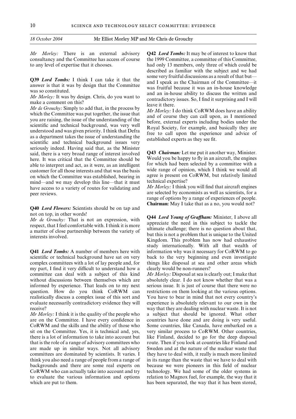consultancy and the Committee has access of course the 1999 Committee, a committee of this Committee, to any level of expertise that it chooses. had only 13 members, only three of which could be

**Q39 Lord Tombs:** I think I can take it that the<br>
answer is that it was by design that the Committee<br>
was so constituted.<br>
Mr Morley: It was by design. Chris, do you want to<br>
was fruitful because it was an in-house knowled seriously indeed. Having said that, as the Minister<br>said, there is a very broad range of interest involved **Q43** *Chairman:* Let me put it another way, Minister.<br>here It was critical that the Committee should be Would you here. It was critical that the Committee should be Would you be happy to fly in an aircraft, the engines able to interpret and act as it were as an intelligent for which had been selected by a committee with a for which had been selected by a committee with a customer for all those interests and that was the basis wide range of opinion, which I think we would all on which the Committee was established bearing in agree is present on which the Committee was established, bearing in agree is present on mind—and we may develop this line—that it must technical expertise? mind—and we may develop this line—that it must<br>have access to a variety of routes for validating and  $Mr Morley$ : I think you will find that aircraft engines have access to a variety of routes for validating and peer reviews. are selected by economists as well as scientists, for a

**Q41** *Lord Tombs:* A number of members here with information why was it necessary for CoRWM to go scientific or technical background have sat on very back to the very beginning and even investigate complex committees with a lot of lay people and, for things like disposal at sea and other areas which my part, I find it very difficult to understand how a clearly would be non-runners? committee can deal with a subject of this kind *Mr Morley:* Disposal at sea is clearly out; I make that without discussions between themselves which are absolutely clear. I do not know whether that was a informed by experience. That leads on to my next serious issue. It is just of course that there were no question. How do you think CoRWM can restrictions on them looking at the various options. realistically discuss a complex issue of this sort and You have to bear in mind that not every country's evaluate necessarily contradictory evidence they will experience is absolutely relevant to our own in the receive? way that they are dealing with nuclear waste. It is not

are on the Committee. I have every confidence in countries have done and are doing is very useful. CoRWM and the skills and the ability of those who Some countries, like Canada, have embarked on a sit on the Committee. Yes, it is technical and, yes, very similar process to CoRWM. Other countries, there is a lot of information to take into account but like Finland, decided to go for the deep disposal that is the role of a range of advisory committees who route. Then if you look at countries like Finland and are made up in similar ways. Not all advisory Sweden and at the nature of the nuclear waste that committees are dominated by scientists. It varies. I they have to deal with, it really is much more limited think you also need a range of people from a range of in its range than the waste that we have to deal with backgrounds and there are some real experts on because we were pioneers in this field of nuclear CoRWM who can actually take into account and try technology. We had some of the older systems in to evaluate the various information and options relation to Magnox fuel, for example, the way that it which are put to them. has been separated, the way that it has been stored,

*Mr Morley:* There is an external advisory **Q42** *Lord Tombs:* It may be of interest to know that described as familiar with the subject and we had

range of options by a range of experiences of people. **Chairman:** May I take that as a no, you would not? **Q40** *Lord Flowers:* Scientists should be on tap and

not on top, in other words!<br> *Mr de Grouchy:* That is not an expression, with<br>
respect, that I feel comfortable with. I think it is more<br>
a matter of close partnership between the variety of<br>
a matter of close partnership study internationally. With all that wealth of

*Mr Morley:* I think it is the quality of the people who a subject that should be ignored. What other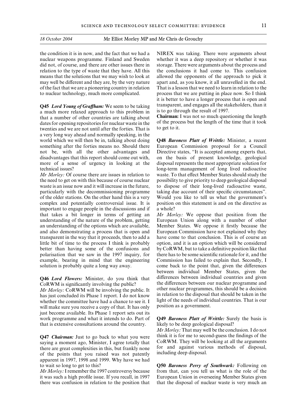*18 October 2004* Mr Elliot Morley MP and Mr Chris de Grouchy

nuclear weapons programme. Finland and Sweden whether it was a deep repository or whether it was did not, of course, and there are other issues there in storage. There were arguments about the process and relation to the type of waste that they have. All this the conclusions it had come to. This confusion means that the solutions that we may wish to look at allowed the opponents of the approach to pick it may well be different and they are, by the very nature apart and, as you know, it all unravelled in the end. of the fact that we are a pioneering country in relation That is a lesson that we need to learn in relation to the to nuclear technology, much more complicated. process that we are putting in place now. So I think

**Q45** *Lord Young of Graffham:* We seem to be taking transparent, and engages all the stakeholders, than it a much more relaxed approach to this problem in is to go through the result of 1997.<br> **Chairman:** I was not so muc that a number of other countries are talking about<br>dates for opening repositories for nuclear waste in the of the process but the length of the time that it took dates for opening repositories for nuclear waste in the of the process twenties and we are not until after the forties. That is to get to it. twenties and we are not until after the forties. That is a very long way ahead and normally speaking, in the world which we will then be in, talking about doing **Q48** *Baroness Platt of Writtle:* Minister, a recent not be, with all the other advantages and Directive states, "It is accepted among experts that, disadvantages that this report should come out with, on the basis of present knowledge, geological more of a sense of urgency in looking at the disposal represents the most appropriate solution for technical issues? long-term management of long lived radioactive

important to engage people in the discussions and if a whole? that takes a bit longer in terms of getting an *Mr Morley:* We oppose that position from the understanding of the nature of the problem, getting European Union along with a number of other and also demonstrating a process that is open and European Commission have not explained why they example, bearing in mind that the engineering Commission has failed to explain that. Secondly, I

*Mr Morley:* CoRWM will be involving the public. It other nuclear programmes, this should be a decision has just concluded its Phase 1 report I do not know in relation to the disposal that should be taken in the has just concluded its Phase 1 report. I do not know whether the committee have had a chance to see it. I light of the needs of individual countries. That is our will make sure you receive a conv of that It has only position as a government. will make sure you receive a copy of that. It has only just become available. Its Phase 1 report sets out its work programme and what it intends to do. Part of **Q49** *Baroness Platt of Writtle:* Surely the basis is that is extensive consultations around the country. likely to be deep geological disposal?

of the points that you raised was not patently apparent in 1997, 1998 and 1999. Why have we had to wait so long to get to this? **Q50** *Baroness Perry of Southwark:* Following on

there was confusion in relation to the position that that the disposal of nuclear waste is very much an

the condition it is in now, and the fact that we had a NIREX was taking. There were arguments about it is better to have a longer process that is open and

something after the forties means no. Should there European Commission proposal for a Council *Mr Morley:* Of course there are issues in relation to waste. To that effect Member States should study the the need to get on with this because of course nuclear possibility to give priority to deep geological disposal waste is an issue now and it will increase in the future, to dispose of their long-lived radioactive waste, particularly with the decommissioning programme taking due account of their specific circumstances". of the older stations. On the other hand this is a very Would you like to tell us what the government's complex and potentially controversial issue. It is position on this statement is and on the directive as

an understanding of the options which are available, Member States. We oppose it firstly because the transparent in the way that it proceeds, then to add a have come to that conclusion. This is of course an little bit of time to the process I think is probably option, and it is an option which will be considered better than having some of the confusions and by CoRWM, but to take a definitive position like that polarisation that we saw in the 1997 inquiry, for there has to be some scientific rationale for it, and the solution is probably quite a long way away. come back to the point that, given the differences between individual Member States, given the **Q46** *Lord Flowers:* Minister, do you think that differences between individual countries and given  $\overrightarrow{C}$  CoRWM is significantly involving the public?<br>  $\overrightarrow{M}$  the differences between our nuclear programme and<br>  $\overrightarrow{M}$  Marley:  $\overrightarrow{C}$  ORWM will be involving the public It

*Mr Morley:* That may well be the conclusion. I do not **Q47 Chairman:** Just to go back to what you were think it is for me to second-guess the findings of the saying a moment ago, Minister, I agree totally that CoRWM. They will be looking at all the arguments there are great c

*Mr Morley:*I remember the 1997 controversy because from that, can you tell us what is the role of the it was such a high profile issue. If you recall, in 1997 European Union in overseeing Member States given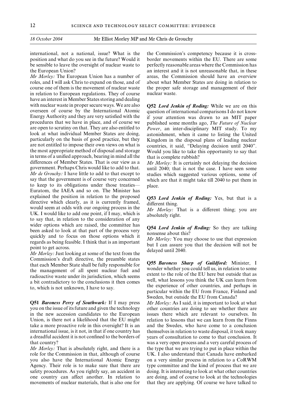position and what do you see in the future? Would it border movements within the EU. There are some be sensible to leave the oversight of nuclear waste to perfectly reasonable areas where the Commission has the European Union? an interest and it is not unreasonable that, in these

roles, and I will ask Chris to expand on those, and of about what Member States are doing in relation to course one of them is the movement of nuclear waste the proper safe storage and management of their in relation to European regulations. They of course nuclear waste. have an interest in Member States storing and dealing with nuclear waste in proper secure ways. We are also **Q52** *Lord Jenkin of Roding:* While we are on this overseen of course by the International Atomic question of international comparisons I do not know overseen of course by the International Atomic question of international comparisons I do not know<br>Energy Authority and they are very satisfied with the if your attention was drawn to an MIT paper Energy Authority and they are very satisfied with the if your attention was drawn to an MIT paper procedures that we have in place, and of course we published some months ago. The Future of Nuclear procedures that we have in place, and of course we published some months ago, *The Future of Nuclear* are open to scrutiny on that. They are also entitled to *Power*, an inter-disciplinary MIT study. To my are open to scrutiny on that. They are also entitled to *Power*, an inter-disciplinary MIT study. To my look at what individual Member States are doing, astonishment when it came to listing the United look at what individual Member States are doing, astonishment, when it came to listing the United particularly on the basis of good practice, but they Kingdom in the disposal plans of leading nuclear particularly on the basis of good practice, but they Kingdom in the disposal plans of leading nuclear are not entitled to impose their own views on what is countries it said "Delaving decision until 2040" are not entitled to impose their own views on what is countries, it said, "Delaying decision until 2040".<br>the most appropriate method of disposal and storage Would you like to take this opportunity to say that in terms of a unified approach, bearing in mind all the that is complete rubbish?<br>differences of Member States. That is our view as a  $Mr$  Morley: It is certainly government. Perhaps Chris would like to add to that. until 2040; that is not the case. I have seen some of Mr de Grouchy: I have little to add to that except to studies which suggested various options, some of *Mr de Grouchy:* I have little to add to that except to studies which suggested various options, some of say that the government is of course very concerned which are that it might take till 2040 to put them in to keep to its obligations under those treaties— place. Euratom, the IAEA and so on. The Minister has explained the position in relation to the proposed<br>directive which clearly, as it is currently framed,<br>would seem at odds with our ongoing process in the *Mr Morley:* That is a different thing; you are<br>UK. I would like to wider options which are raised, the committee has<br>been asked to look at that part of the process very<br>quickly and to focus on those options which it<br>regards as being feasible. I think that is an important<br>point to get acro

Commission's draft directive, the preamble states<br>that each Member State shall be fully responsible for<br>the management of all spent nuclear fuel and<br>radioactive waste under its jurisdiction, which seems<br>radioactive waste u a bit contradictory to the conclusions it then comes well, what lessons you think the UK can learn from

you on the issue of its future and given the technology other countries are doing to see whether there are in the new accession candidates to the European issues there which are relevant to ourselves. In Union, is there not a likelihood that the EU might relation to lessons that we can learn from the Finns take a more proactive role in this oversight? It is an and the Swedes, who have come to a conclusion international issue, is it not, in that if one country has themselves in relation to waste disposal, it took many a dreadful accident it is not confined to the borders of years of consultation to come to that conclusion. It that country? was a very open process and a very careful process of

role for the Commission in that, although of course UK. I also understand that Canada have embarked you also have the International Atomic Energy on a very similar process in relation to a CoRWM Agency. Their role is to make sure that there are type committee and the kind of process that we are safety procedures. As you rightly say, an accident in doing. It is interesting to look at what other countries one country can affect another. In relation to are doing, and of course to look at the technologies movements of nuclear materials, that is also one for that they are applying. Of course we have talked to

international, not a national, issue? What is the the Commission's competency because it is cross-*Mr Morley:* The European Union has a number of areas, the Commission should have an overview

Would you like to take this opportunity to say that

*Mr Morley:* It is certainly not delaying the decision which are that it might take till 2040 to put them in

the experience of other countries, and perhaps in to, which is not unknown, I have to say.<br>particular within the EU from France, Finland and Sweden, but outside the EU from Canada?

**Q51** *Baroness Perry of Southwark:* If I may press *Mr Morley:* As I said, it is important to look at what *Mr Morley:* That is absolutely right, and there is a the type that we are trying to put in place within the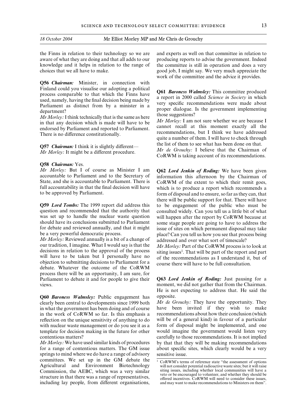the Finns in relation to their technology so we are and experts as well on that committee in relation to aware of what they are doing and that all adds to our producing reports to advise the government. Indeed knowledge and it helps in relation to the range of the committee is still in operation and does a very choices that we all have to make. good job, I might say. We very much appreciate the

**Q56** *Chairman:* Minister, in connection with Finland could you visualise our adopting a political<br>process comparable to that which the Finns have<br>used, namely, having the final decision being made by<br>Parliament as distinct from by a minister in a<br>department?<br>departm

**Q57** *Chairman:* I think it is slightly different—<br>*Mr* de Grouchy: I believe that the Chairman of

**Q58** *Chairman:* Yes. *Mr Morley:* But I of course as Minister I am **Q62** *Lord Jenkin of Roding:* We have been given accountable to Parliament and to the Secretary of information this afternoon by the Chairman of accountable to Parliament and to the Secretary of information this afternoon by the Chairman of State, and she is accountable to Parliament. There is CoRWM of the extent to which their remit goes full accountability in that the final decision will have which is to produce a report which recommends a<br>to be approved by Parliament.

was set up to handle the nuclear waste question will happen after the report by CoRWM because at should have its conclusions submitted to Parliament some stage people are going to have to address the

*Mr Morley:* Reviewed annually is a bit of a change of addressed and over what sort of timescale?<br>our tradition, I imagine. What I would say is that the *Mr Morley:* Part of the CoRWM process is our tradition, I imagine. What I would say is that the *Mr Morley*: Part of the CoRWM process is to look at decisions in relation to the approval of the process situal be part of the report and part will have to be taken b debate. Whatever the outcome of the CoRWM process there will be an opportunity, I am sure, for Parliament to debate it and for people to give their **Q63** *Lord Jenkin of Roding:* Just pausing for a views. moment, we did not gather that from the Chairman.

**Q60** *Baroness Walmsley:* Public engagement has opposite. clearly been central to developments since 1999 both *Mr de Grouchy:* They have the opportunity. They in what the government has been doing and of course have been invited if they wish to make in the work of CoRWM so far. Is this emphasis a

springs to mind where we do have a range of advisory sensitive issue. committees. We set up in the GM debate the  $\frac{1}{1 \text{ CoRWM's terms of reference state "the assessment of options}$ Agricultural and Environment Biotechnology will not consider potential radioactive wastes ites; but it will raise<br>Commission the AFRC which was a very similar siting issues, including whether local communities will have a Commission, the AEBC, which was a very similar siting issues, including whether local communities will have a very similar version be encouraged to volunteer, and whether they should be structure in that there was a range of representatives,<br>including lay people, from different organisations,<br>and may want to make recommendations to Ministers on them". including lay people, from different organisations,

work of the committee and the advice it provides.

Mr Morley: I think technically that is the same as here<br>in that any decision which is made will have to be<br>endorsed by Parliament and reported to Parliament.<br>There is no difference constitutionally.<br>There is no difference

*Mr de Grouchy:* I believe that the Chairman of *Mr Morley:* I believe that the Chairman of *Its recommendations.* CoRWM is taking account of its recommendations.

CoRWM of the extent to which their remit goes, form of disposal and to ensure, so far as they can, that there will be public support for that. There will have **Q59** *Lord Tombs:* The 1999 report did address this to be engagement of the public who must be question and recommended that the authority that consulted widely. Can you tell us a little bit of what question and recommended that the authority that consulted widely. Can you tell us a little bit of what was set up to handle the nuclear waste question will happen after the report by CoRWM because at should have its conclusions submitted to Parliament some stage people are going to have to address the for debate and reviewed annually, and that it might issue of sites on which permanent disposal may take for debate and reviewed annually, and that it might issue of sites on which permanent disposal may take<br>be a very powerful democratic process.<br>place? Can you tell us how you see that process being place? Can you tell us how you see that process being.

He is not expecting to address that. He said the

in what the government has been doing and of course have been invited if they wish to make<br>in the work of CoRWM so far. Is this emphasis a recommendations about how their conclusion (which reflection on the unique sensitivity of anything to do will be of a general kind) in favour of a particular with nuclear waste management or do you see it as a form of disposal might be implemented, and one template for decision making in the future for other would imagine the government would listen very contentious matters? carefully to those recommendations. It is not implied *Mr Morley:* We have used similar kinds of procedures by that that they will be making recommendations for a range of contentious matters. The GM issue about specific sites, which clearly would be a very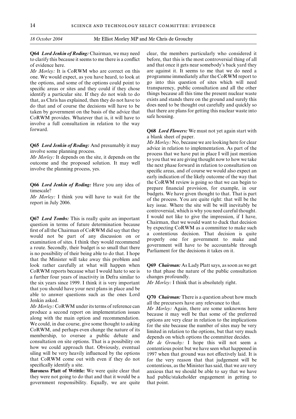to clarify this because it seems to me there is a conflict before, that this is the most controversial thing of all of evidence here. and that once it gets near somebody's back yard they

one. We would expect, as you have heard, to look at programme immediately after the CoRWM report to the options, and some of the options could point to go into this question of sites which will need<br>specific areas or sites and they could if they chose transparency, public consultation and all the other specific areas or sites and they could if they chose identify a particular site. If they do not wish to do things because all this time the present nuclear waste<br>that as Chris has explained then they do not have to exists and stands there on the ground and surely this that, as Chris has explained, then they do not have to exists and stands there on the ground and surely this do that and of course the decisions will have to be does need to be thought out carefully and quickly so do that and of course the decisions will have to be taken by government on the basis of the advice that that there are plans for getting this nuclear waste into<br>CoRWM provides Whatever that is it will have to safe housing. CoRWM provides. Whatever that is, it will have to involve a full consultation in relation to the way forward. **Q68** *Lord Flowers:* We must not yet again start with

**Q67** *Lord Tombs:* This is really quite an important<br>question in terms of future determination because<br>first of all the Chairman of CoRWM did say that they<br>would not be part of any discussion on or<br>examination of sites. I that the Minister will take away this problem and look rather carefully at what will happen when **Q69** *Chairman:* As Lady Platt says, as soon as we get CoRWM reports because what I would hate to see is to that phase the nature of the public consultation a further four years of inactivity in Defra similar to changes profoundly. the six years since 1999. I think it is very important *Mr Morley:* I think that is absolutely right. that you should have your next plans in place and be

able to answer questions such as the ones Lord<br>Jenkin asked.<br>Mr Morley: CoRWM under its terms of reference can<br>produce a second report on implementation issues<br>produce a second report on implementation issues<br>along with t how we could approach that. Obviously, eventual contentious point but we have seen what happened in siling will be very heavily influenced by the options 1997 when that ground was not effectively laid. It is that CoRWM come out with even if they do not for the very reason that that judgement will be

they were not going to do that and that it would be a had public/stakeholder engagement in getting to government responsibility. Equally, we are quite that point.

**Q64** *Lord Jenkin of Roding:* Chairman, we may need clear, the members particularly who considered it *Mr Morley:* It is CoRWM who are correct on this are against it. It seems to me that we do need a

a blank sheet of paper.

**Q65 Lord Jenkin of Roding:** And presumably it may<br>involve some planning process.<br>*Mr Morley:* It depends on the site, it depends on the<br>outcome and the proposed solution. It may well<br>involve the planning process, yes.<br>inv early indication of the likely outcome of the way that **Q66 Lord Jenkin of Roding:** Have you any idea of the CoRWM review is going so that we can begin to prepare financial provision, for example, in our budgets. We have given thought to that. That is part of the process. You controversial, which is why you need careful thought.

specifically identify a site. contentious, as the Minister has said, that we are very **Baroness Platt of Writtle:** We were quite clear that anxious that we should be able to say that we have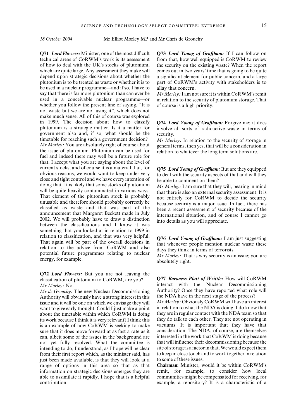technical areas of CoRWM's work is its assessment from that, how well equipped is CoRWM to review of how to deal with the UK's stocks of plutonium, the security on the existing waste? When the report which are quite large. Any assessment they make will comes out in two years' time that is going to be quite depend upon strategic decisions about whether the a significant element for public concern, and a large plutonium is to be treated as waste or whether it is to part of CoRWM's activity with stakeholders is to be used in a nuclear programme—and if so, I have to allay that concern. say that there is far more plutonium than can ever be *Mr Morley:* I am not sure it is within CoRWM's remit used in a conceivable nuclear programme—or in relation to the security of plutonium storage. That whether you follow the present line of saying, "It is of course is a high priority. not waste but we are not using it", which does not make much sense. All of this of course was explored in 1999. The decision about how to classify **Q74** *Lord Young of Graffham*: Forgive me: it does plutonium is a strategic matter. Is it a matter for involve all sorts of radioactive waste in terms of government also and, if so, what should be the security.<br>timetable for reaching such a government decision?  $Mr$  Mor. timetable for reaching such a government decision? *Mr Morley:* In relation to the security of storage in *Mr Morley:* You are absolutely right of course about openeral terms then yes that will be a consideration in *Mr Morley:* You are absolutely right of course about general terms, then yes, that will be a consideration in the issue of plutonium. Plutonium can be used for relation to whatever the long term solutions are the issue of plutonium. Plutonium can be used for relation to whatever the long term solutions are. fuel and indeed there may well be a future role for that. I accept what you are saying about the level of current stocks, and of course it is a material that, for<br>
of Craft Young of Graftham: But are they equipped<br>
obvious reasons, we would want to keep under very<br>
to deal with the security aspects of that and will they<br>
clos doing that. It is likely that some stocks of plutonium<br>will be quite heavily contaminated in various ways.<br>That element of the plutonium stock is probably<br>unusable and therefore should probably correctly be<br>lessified as wa something that you looked at in relation to 1999 in relation to classification, and that was very helpful.<br>
That again will be part of the overall decisions in<br>
relation to the advice from CoRWM and also<br>
potential future programmes relating to nuclear<br>
metals of terrorists

**Q72** *Lord Flowers:* But you are not leaving the

*Mr de Grouchy:* The new Nuclear Decommissioning Authority? Once they have reported what role Authority will obviously have a strong interest in this the NDA have in the next stage of the process? Authority will obviously have a strong interest in this issue and it will be one on which we envisage they will Mr Morley: Obviously CoRWM will have an interest want to give early thought. Could I just make a point in relation to what the NDA is doing. I do know that about the timetable within which CoRWM is doing they are in regular contact with the NDA team so that about the timetable within which CoRWM is doing they are in regular contact with the NDA team so that its work because I think it is very relevant? I think this they do talk to each other. They are not operating in its work because I think it is very relevant? I think this they do talk to each other. They are not operating in<br>is an example of how CoRWM is seeking to make vacuums. It is important that they have that is an example of how CoRWM is seeking to make vacuums. It is important that they have that sure that it does move forward at as fast a rate as it consideration. The NDA, of course, are themselves sure that it does move forward at as fast a rate as it consideration. The NDA, of course, are themselves can albeit some of the issues in the background are interested in the work that CoRWM is doing because can, albeit some of the issues in the background are not yet fully resolved. What the committee is that will influence their decommissioning because the intending to do, I understand, as I hope will be clear site of storage is a factor in that. We would expect them<br>from their first report which, as the minister said, has to keep in close touch and to work together in relat from their first report which, as the minister said, has just been made available, is that they will look at a to some of these issues. range of options in this area so that as that **Chairman:** Minister, would it be within CoRWM's information on strategic decisions emerges they are remit, for example, to consider how local able to assimilate it rapidly. I hope that is a helpful communities might be compensated for receiving, for contribution. example, a repository? It is a characteristic of a

**Q71** *Lord Flowers:* Minister, one of the most difficult Q73 *Lord Young of Graffham:* If I can follow on

in relation to the security of plutonium storage. That

involve all sorts of radioactive waste in terms of

classification of plutonium to CoRWM, are you? **Q77** *Baroness Platt of Writtle:* How will CoRWM *Mr Morley:* No.<br>*Mr de Grouchy:* The new Nuclear Decommissioning Authority? Once they have reported what role will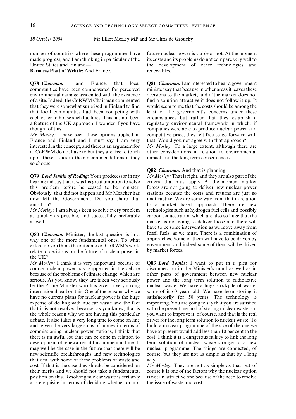made progress, and I am thinking in particular of the its costs and its problems do not compare very well to United States and Finland— the development of other technologies and

**Baroness Platt of Writtle:** And France. The renewables.

communities have been compensated for perceived minister say that because in other areas it leaves these environmental damage associated with the existence decisions to the market, and if the market does not of a site. Indeed, the CoRWM Chairman commented find a solution attractive it does not follow it up. It that they were somewhat surprised in Finland to find would seem to me that the costs should be among the that local communities had been competing with least of the government's concerns under these each other to house such facilities. This has not been circumstances but rather that they establish a a feature of the UK approach. I wonder if you have regulatory environmental framework in which, if thought of this. companies were able to produce nuclear power at a

France and Finland and I must say I am very that. Would you not agree with that approach? interested in the concept, and there is an argument for *Mr Morley:* To a large extent, although there are it. CoRWM do not have to but they are free to touch other considerations in relation to environmental upon these issues in their recommendations if they impact and the long term consequences. so choose.

**Q79** *Lord Jenkin of Roding:* Your predecessor in my *Mr Morley:* That is right, and they are also part of the hearing did say that it was his great ambition to solve criteria that must apply. At the moment market this problem before he ceased to be minister. forces are not going to deliver new nuclear power Obviously, that did not happen and Mr Meacher has stations because the costs and returns are just so now left the Government. Do you share that unattractive. We are some way from that in relation ambition? to a market based approach. There are new

extent do you think the outcomes of  $\text{CoRWM's work}$  government and independent of the future of nuclear power in by market forces. relate to decisions on the future of nuclear power in the UK?

*Mr Morley:* I think it is very important because of **Q83** *Lord Tombs:* I want to put in a plea for course nuclear power has reappeared in the debate disconnection in the Minister's mind as well as in because of the problems of climate change, which are other parts of government between new nuclear serious. As you know, they are taken very seriously power and the long term solution to radioactive by the Prime Minister who has given a very strong nuclear waste. We have a huge stockpile of waste, international lead on this. One of the reasons why we some of it 60 years old. We have been storing it have no current plans for nuclear power is the huge satisfactorily for 50 years. The technology is expense of dealing with nuclear waste and the fact improving. You are going to say that you are satisfied that it is not resolved because, as you know, that is with the present method of storing nuclear waste but the whole reason why we are having this particular you want to improve it, of course, and that is the real debate. It also takes a very long time to come on line driver for the long term solution to nuclear waste. To and, given the very large sums of money in terms of build a nuclear programme of the size of the one we commissioning nuclear power stations, I think that have at present would add less than 10 per cent to the there is an awful lot that can be done in relation to cost. I think it is a dangerous fallacy to link the long development of renewables at this moment in time. It term solution of nuclear waste storage to a new may well be the case in the future that there will be nuclear programme. The things are connected, of new scientific breakthroughs and new technologies course, but they are not as simple as that by a long that deal with some of these problems of waste and way. cost. If that is the case they should be considered on *Mr Morley:* They are not as simple as that but of their merits and we should not take a fundamental course it is one of the factors why the nuclear option position on this. Resolving nuclear waste is certainly is not an attractive one because of the need to resolve a prerequisite in terms of deciding whether or not the issue of waste and cost.

number of countries where these programmes have future nuclear power is viable or not. At the moment

**Q78** *Chairman:*— and France, that local **Q81** *Chairman:*I am interested to hear a government *Mr Morley:* I have seen these options applied in competitive price, they felt free to go forward with

#### **Q82** *Chairman:* And that is planning.

unattractive. We are some way from that in relation *Mr Morley:* I am always keen to solve every problem technologies such as hydrogen fuel cells and possibly as quickly as possible, and successfully preferably carbon sequestration which are also so huge that the as well. market is not going to deliver those and there will have to be some intervention as we move away from **Q80** *Chairman:* Minister, the last question is in a fossil fuels, as we must. There is a combination of way one of the more fundamental ones. To what approaches. Some of them will have to be driven by way one of the more fundamental ones. To what approaches. Some of them will have to be driven by<br>extent do you think the outcomes of CoRWM's work government and indeed some of them will be driven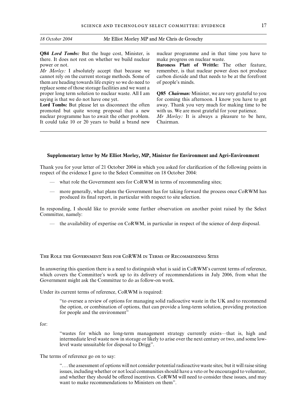**Q84** *Lord Tombs:* But the huge cost, Minister, is nuclear programme and in that time you have to there. It does not rest on whether we build nuclear make progress on nuclear waste. there. It does not rest on whether we build nuclear power or not. **Baroness Platt of Writtle:** The other feature,

cannot rely on the current storage methods. Some of carbon dioxide and that needs to be at the forefront them are heading towards life expiry so we do need to of people's minds. replace some of those storage facilities and we want a proper long term solution to nuclear waste. All I am **Q85** *Chairman:* Minister, we are very grateful to you saying is that we do not have one yet. for coming this afternoon. I know you have to get

promoted but quite wrong proposal that a new with us. We are most grateful for your patience. nuclear programme has to await the other problem. *Mr Morley:* It is always a pleasure to be here, It could take 10 or 20 years to build a brand new Chairman.

*Mr Morley:* I absolutely accept that because we remember, is that nuclear power does not produce

Lord Tombs: But please let us disconnect the often away. Thank you very much for making time to be

#### **Supplementary letter by Mr Elliot Morley, MP, Minister for Environment and Agri-Environment**

Thank you for your letter of 21 October 2004 in which you asked for clarification of the following points in respect of the evidence I gave to the Select Committee on 18 October 2004:

- what role the Government sees for CoRWM in terms of recommending sites;
- more generally, what plans the Government has for taking forward the process once CoRWM has produced its final report, in particular with respect to site selection.

In responding, I should like to provide some further observation on another point raised by the Select Committee, namely:

— the availability of expertise on CoRWM, in particular in respect of the science of deep disposal.

The Role the Government Sees for CoRWM in Terms of Recommending Sites

In answering this question there is a need to distinguish what is said in CoRWM's current terms of reference, which covers the Committee's work up to its delivery of recommendations in July 2006, from what the Government might ask the Committee to do as follow-on work.

Under its current terms of reference, CoRWM is required:

"to oversee a review of options for managing solid radioactive waste in the UK and to recommend the option, or combination of options, that can provide a long-term solution, providing protection for people and the environment"

for:

"wastes for which no long-term management strategy currently exists—that is, high and intermediate level waste now in storage or likely to arise over the next century or two, and some lowlevel waste unsuitable for disposal to Drigg".

#### The terms of reference go on to say:

". . . the assessment of options will not consider potential radioactive waste sites; but it will raise siting issues, including whether or not local communities should have a veto or be encouraged to volunteer, and whether they should be offered incentives. CoRWM will need to consider these issues, and may want to make recommendations to Ministers on them".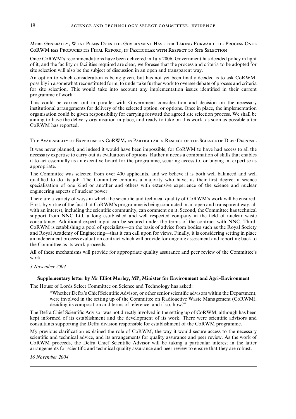More Generally, What Plans Does the Government Have for Taking Forward the Process Once CoRWM has Produced its Final Report, in Particular with Respect to Site Selection

Once CoRWM's recommendations have been delivered in July 2006, Government has decided policy in light of it, and the facility or facilities required are clear, we foresee that the process and criteria to be adopted for site selection will also be the subject of discussion in an open and transparent way.

An option to which consideration is being given, but has not yet been finally decided is to ask CoRWM, possibly in a somewhat reconstituted form, to undertake further work to oversee debate of process and criteria for site selection. This would take into account any implementation issues identified in their current programme of work.

This could be carried out in parallel with Government consideration and decision on the necessary institutional arrangements for delivery of the selected option, or options. Once in place, the implementation organisation could be given responsibility for carrying forward the agreed site selection process. We shall be aiming to have the delivery organisation in place, and ready to take on this work, as soon as possible after CoRWM has reported.

The Availability of Expertise on CoRWM, in Particular in Respect of the Science of Deep Disposal

It was never planned, and indeed it would have been impossible, for CoRWM to have had access to all the necessary expertise to carry out its evaluation of options. Rather it needs a combination of skills that enables it to act essentially as an executive board for the programme, securing access to, or buying in, expertise as appropriate.

The Committee was selected from over 400 applicants, and we believe it is both well balanced and well qualified to do its job. The Committee contains a majority who have, as their first degree, a science specialisation of one kind or another and others with extensive experience of the science and nuclear engineering aspects of nuclear power.

There are a variety of ways in which the scientific and technical quality of CoRWM's work will be ensured. First, by virtue of the fact that CoRWM's programme is being conducted in an open and transparent way, all with an interest, including the scientific community, can comment on it. Second, the Committee has technical support from NNC Ltd, a long established and well respected company in the field of nuclear waste consultancy. Additional expert input can be secured under the terms of the contract with NNC. Third, CoRWM is establishing a pool of specialists—on the basis of advice from bodies such as the Royal Society and Royal Academy of Engineering—that it can call upon for views. Finally, it is considering setting in place an independent process evaluation contract which will provide for ongoing assessment and reporting back to the Committee as its work proceeds.

All of these mechanisms will provide for appropriate quality assurance and peer review of the Committee's work.

#### *3 November 2004*

#### **Supplementary letter by Mr Elliot Morley, MP, Minister for Environment and Agri-Environment**

The House of Lords Select Committee on Science and Technology has asked:

"Whether Defra's Chief Scientific Advisor, or other senior scientific advisors within the Department, were involved in the setting up of the Committee on Radioactive Waste Management (CoRWM), deciding its composition and terms of reference; and if so, how?"

The Defra Chief Scientific Advisor was not directly involved in the setting up of CoRWM, although has been kept informed of its establishment and the development of its work. There were scientific advisors and consultants supporting the Defra division responsible for establishment of the CoRWM programme.

My previous clarification explained the role of CoRWM, the way it would secure access to the necessary scientific and technical advice, and its arrangements for quality assurance and peer review. As the work of CoRWM proceeds, the Defra Chief Scientific Advisor will be taking a particular interest in the latter arrangements for scientific and technical quality assurance and peer review to ensure that they are robust.

*16 November 2004*